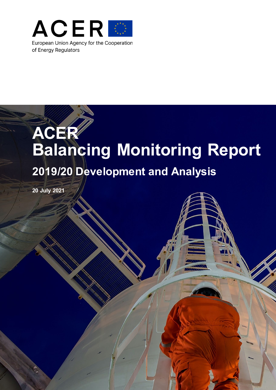

# **ACER Balancing Monitoring Report 2019/20 Development and Analysis**

Page 1 of 48

**20 July 2021**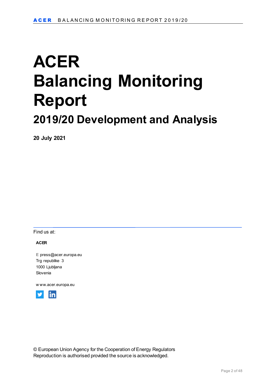# **ACER Balancing Monitoring Report 2019/20 Development and Analysis**

**20 July 2021**

Find us at:

#### **ACER**

**E** [press@acer.europa.eu](mailto:press@acer.europa.eu) Trg republike 3 1000 Ljubljana Slovenia

[w ww.acer.europa.eu](http://www.acer.europa.eu/)



© European Union Agency for the Cooperation of Energy Regulators Reproduction is authorised provided the source is acknowledged.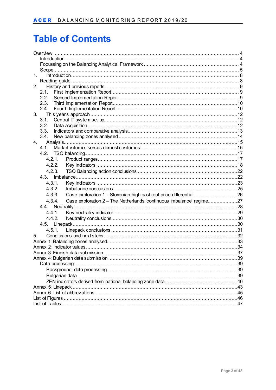# **Table of Contents**

| 1.<br>Introduction 38                                                          |  |
|--------------------------------------------------------------------------------|--|
|                                                                                |  |
| 2.                                                                             |  |
| 2.1.                                                                           |  |
| 2.2.                                                                           |  |
| 2.3.                                                                           |  |
| 2.4.                                                                           |  |
| 3.                                                                             |  |
| 3.1.                                                                           |  |
| 3.2.                                                                           |  |
| 3.3.<br>3.4.                                                                   |  |
| 4.                                                                             |  |
| 4.1.                                                                           |  |
|                                                                                |  |
| 4.2.1.                                                                         |  |
| 4.2.2.                                                                         |  |
| 4.2.3.                                                                         |  |
|                                                                                |  |
| 4.3.1.                                                                         |  |
| 4.3.2.                                                                         |  |
|                                                                                |  |
| Case exploration 1 - Slovenian high cash out price differential 26<br>4.3.3.   |  |
| Case exploration 2 - The Netherlands 'continuous imbalance' regime27<br>4.3.4. |  |
|                                                                                |  |
| 4.4.1.                                                                         |  |
| 4.4.2.                                                                         |  |
|                                                                                |  |
|                                                                                |  |
| 5.                                                                             |  |
|                                                                                |  |
|                                                                                |  |
|                                                                                |  |
|                                                                                |  |
|                                                                                |  |
|                                                                                |  |
|                                                                                |  |
| Annex 5: Linepack                                                              |  |
|                                                                                |  |
|                                                                                |  |
|                                                                                |  |
|                                                                                |  |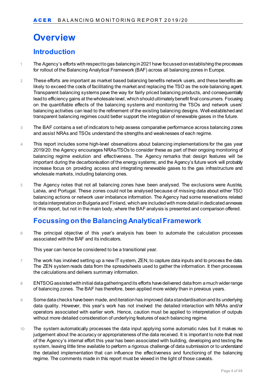# <span id="page-3-0"></span>**Overview**

## <span id="page-3-1"></span>**Introduction**

- 1 The Agency's efforts with respect to gas balancing in 2021 have focussed on establishing the processes for rollout of the Balancing Analytical Framework (BAF) across all balancing zones in Europe.
- 2 These efforts are important as market based balancing benefits network users, and these benefits are likely to exceed the costs of facilitating the market and replacing the TSO as the sole balancing agent. Transparent balancing systems pave the way for fairly priced balancing products, and consequentially lead to efficiency gains at the wholesale level, which should ultimately benefit final consumers. Focusing on the quantifiable effects of the balancing systems and monitoring the TSOs and network users' balancing activities can lead to the refinement of the existing balancing designs. Well-established and transparent balancing regimes could better support the integration of renewable gases in the future.
- 3 The BAF contains a set of indicators to help assess comparative performance across balancing zones and assist NRAs and TSOs understand the strengths and weaknesses of each regime.
- 4 This report includes some high-level observations about balancing implementations for the gas year 2019/20: the Agency encourages NRAs/TSOs to consider these as part of their ongoing monitoring of balancing regime evolution and effectiveness. The Agency remarks that design features will be important during the decarbonisation of the energy systems; and the Agency's future work will probably increase focus on providing access and integrating renewable gases to the gas infrastructure and wholesale markets, including balancing ones.
- 5 The Agency notes that not all balancing zones have been analysed. The exclusions were Austria, Latvia, and Portugal. These zones could not be analysed because of missing data about either TSO balancing actions or network user imbalance information. The Agency had some reservations related to data interpretation on Bulgaria and Finland, which are included with more detail in dedicated annexes of this report, but not in the main body, where the BAF analysis is presented and comparison offered.

## <span id="page-3-2"></span>**Focussing on the Balancing Analytical Framework**

6 The principal objective of this year's analysis has been to automate the calculation processes associated with the BAF and its indicators.

This year can hence be considered to be a transitional year.

- 7 The work has involved setting up a new IT system, ZEN, to capture data inputs and to process the data. The ZEN system reads data from the spreadsheets used to gather the information. It then processes the calculations and delivers summary information.
- 8 ENTSOG assisted with initial data gathering and its efforts have delivered data from a much wider range of balancing zones. The BAF has therefore, been applied more widely than in previous years.
- 9 Some data checks have been made, and iteration has improved data standardisation and its underlying data quality. However, this year's work has not involved the detailed interaction with NRAs and/or operators associated with earlier work. Hence, caution must be applied to interpretation of outputs without more detailed consideration of underlying features of each balancing regime.
- 10 The system automatically processes the data input applying some automatic rules but it makes no judgement about the accuracy or appropriateness of the data received. It is important to note that most of the Agency's internal effort this year has been associated with building, developing and testing the system, leaving little time available to perform a rigorous challenge of data submission or to understand the detailed implementation that can influence the effectiveness and functioning of the balancing regime. The comments made in this report must be viewed in the light of those caveats.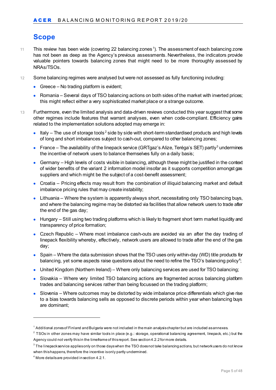# <span id="page-4-0"></span>**Scope**

- $11$  $11$  This review has been wide (covering 22 balancing zones  $^1$ ). The assessment of each balancing zone has not been as deep as the Agency's previous assessments. Nevertheless, the indicators provide valuable pointers towards balancing zones that might need to be more thoroughly assessed by NRAs/TSOs.
- 12 Some balancing regimes were analysed but were not assessed as fully functioning including:
	- Greece No trading platform is evident;
	- Romania Several days of TSO balancing actions on both sides of the market with inverted prices; this might reflect either a very sophisticated market place or a strange outcome.
- 13 Furthermore, even the limited analysis and data-driven reviews conducted this year suggest that some other regimes include features that warrant analyses, even when code-compliant. Efficiency gains related to the implementation solutions adopted may emerge in:
	- Italy The use of storage tools<sup>[2](#page-4-2)</sup> side by side with short-term standardised products and high levels of long and short imbalances subject to cash-out, compared to other balancing zones;
	- France The availability of the linepack service (GRTgaz's Alize, Teréga's SET) partly<sup>[3](#page-4-3)</sup> undermines the incentive of network users to balance themselves fully on a daily basis;
	- Germany High levels of costs visible in balancing, although these might be justified in the context of wider benefits of the variant 2 information model insofar as it supports competition amongst gas suppliers and which might be the subject of a cost-benefit assessment;
	- Croatia Pricing effects may result from the combination of illiquid balancing market and default imbalance pricing rules that may create instability;
	- Lithuania Where the system is apparently always short, necessitating only TSO balancing buys, and where the balancing regime may be distorted via facilities that allow network users to trade after the end of the gas day;
	- Hungary Still using two trading platforms which is likely to fragment short term market liquidity and transparency of price formation;
	- Czech Republic Where most imbalance cash-outs are avoided via an after the day trading of linepack flexibility whereby, effectively, network users are allowed to trade after the end of the gas day;
	- Spain Where the data submission shows that the TSO uses only within-day (WD) title products for balancing, yet some aspects raise questions about the need to refine the TSO's balancing policy $^4\!;$  $^4\!;$  $^4\!;$
	- United Kingdom (Northern Ireland) Where only balancing services are used for TSO balancing;
	- Slovakia Where very limited TSO balancing actions are fragmented across balancing platform trades and balancing services rather than being focussed on the trading platform;
	- Slovenia Where outcomes may be distorted by wide imbalance price differentials which give rise to a bias towards balancing sells as opposed to discrete periods within year when balancing buys are dominant;

-

<span id="page-4-1"></span> $1$  Additional zones of Finland and Bulgaria were not included in the main analysis chapter but are included as annexes.

<span id="page-4-2"></span> $2$  TSOs in other zones may have similar tools in place (e.g.: storage, operational balancing agreement, linepack, etc.) but the Agency could not verify this in the timeframe of this report. See section 4.2.2 for more details.

<span id="page-4-3"></span> $3$  The linepack service applies only on those days when the TSO does not take balancing actions, but network users do not know when this happens, therefore the incentive is only partly undermined.

<span id="page-4-4"></span><sup>4</sup> More details are provided in section 4.2.1.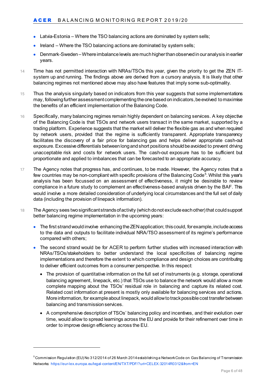- Latvia-Estonia Where the TSO balancing actions are dominated by system sells;
- Ireland Where the TSO balancing actions are dominated by system sells;
- Denmark-Sweden –Where imbalance levels are much higher than observed in our analysis in earlier years.
- 14 Time has not permitted interaction with NRAs/TSOs this year, given the priority to get the ZEN ITsystem up and running. The findings above are derived from a cursory analysis. It is likely that other balancing regimes not mentioned above may also have features that imply some sub-optimality.
- 15 Thus the analysis singularly based on indicators from this year suggests that some implementations may, following further assessmentcomplementing the one based on indicators, be evolved to maximise the benefits of an efficient implementation of the Balancing Code.
- 16 Specifically, many balancing regimes remain highly dependent on balancing services. A key objective of the Balancing Code is that TSOs and network users transact in the same market, supported by a trading platform. Experience suggests that the market will deliver the flexible gas as and when required by network users, provided that the regime is sufficiently transparent. Appropriate transparency facilitates the discovery of a fair price for balancing gas and helps deliver appropriate cash-out exposure. Excessive differentials between long and short positions should be avoided to prevent driving unacceptable risk and costs for network users. The cash-out exposure has to be sufficient but proportionate and applied to imbalances that can be forecasted to an appropriate accuracy.
- 17 The Agency notes that progress has, and continues, to be made. However, the Agency notes that a few countries may be non-compliant with specific provisions of the Balancing Code $^5$  $^5$ . Whilst this year's analysis has been focussed on an assessment of effectiveness, it might be desirable to review compliance in a future study to complement an effectiveness-based analysis driven by the BAF. This would involve a more detailed consideration of underlying local circumstances and the full set of daily data (including the provision of linepack information).
- 18 The Agency sees two significant strands of activity (which do not exclude each other) that could support better balancing regime implementation in the upcoming years:
	- The first strand would involve enhancing the ZEN application; this could, for example, include access to the data and outputs to facilitate individual NRA/TSO assessment of its regime's performance compared with others;
	- The second strand would be for ACER to perform further studies with increased interaction with NRAs/TSOs/stakeholders to better understand the local specificities of balancing regime implementations and therefore the extent to which compliance and design choices are contributing to deliver efficient outcomes from a consumer perspective. In this respect:
		- The provision of quantitative information on the full set of instruments (e.g. storage, operational balancing agreement, linepack, etc.) that TSOs use to balance the network would allow a more complete mapping about the TSOs' residual role in balancing and capture its related cost. Related cost information at present is mostly only available for balancing services and actions. More information, for example about linepack, would allow to track possible cost transfer between balancing and transmission services.
		- A comprehensive description of TSOs' balancing policy and incentives, and their evolution over time, would allow to spread learnings across the EU and provide for their refinement over time in order to improve design efficiency across the EU.

-

<span id="page-5-0"></span> $^5$ Commi $\,$ sion Regulation (EU) No 312/2014 of 26 March 2014 establishing a Network Code on Gas Balancing of Transmission Networks:<https://eur-lex.europa.eu/legal-content/EN/TXT/PDF/?uri=CELEX:32014R0312&from=EN>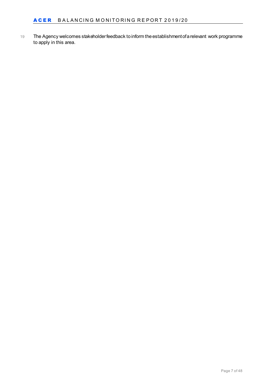19 The Agency welcomes stakeholder feedback to inform the establishment of a relevant work programme to apply in this area.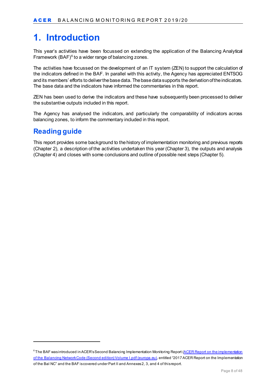# <span id="page-7-0"></span>**1. Introduction**

This year's activities have been focussed on extending the application of the Balancing Analytical Framework  $(BAF)^6$  $(BAF)^6$  to a wider range of balancing zones.

The activities have focussed on the development of an IT system (ZEN) to support the calculation of the indicators defined in the BAF. In parallel with this activity, the Agency has appreciated ENTSOG and its members' efforts to deliver the base data. The base data supports the derivation of the indicators. The base data and the indicators have informed the commentaries in this report.

ZEN has been used to derive the indicators and these have subsequently been processed to deliver the substantive outputs included in this report.

The Agency has analysed the indicators, and particularly the comparability of indicators across balancing zones, to inform the commentary included in this report.

### <span id="page-7-1"></span>**Reading guide**

-

This report provides some background to the history of implementation monitoring and previous reports (Chapter 2), a description of the activities undertaken this year (Chapter 3), the outputs and analysis (Chapter 4) and closes with some conclusions and outline of possible next steps (Chapter 5).

<span id="page-7-2"></span><sup>&</sup>lt;sup>6</sup> The BAF was introduced in ACER's Second Balancing Implementation Monitoring Report (<u>ACER Report on the implementation</u> [of the Balancing Network Code \(Second edition\) Volume I.pdf \(europa.eu\)](https://extranet.acer.europa.eu/Official_documents/Acts_of_the_Agency/Publication/ACER%20Report%20on%20the%20implementation%20of%20the%20Balancing%20Network%20Code%20(Second%20edition)%20Volume%20I.pdf), entitled "2017 ACER Report on the Implementation of the Bal NC" and the BAF is covered under Part II and Annexes 2, 3, and 4 of this report.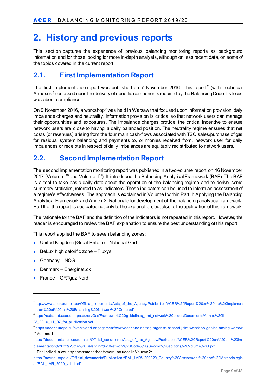# <span id="page-8-0"></span>**2. History and previous reports**

This section captures the experience of previous balancing monitoring reports as background information and for those looking for more in-depth analysis, although on less recent data, on some of the topics covered in the current report.

### <span id="page-8-1"></span>**2.1. First Implementation Report**

The first implementation report was published on  $7$  November 2016. This report<sup>7</sup> (with Technical Annexes [8](#page-8-4) ) focussed upon the delivery of specific components required by the Balancing Code. Its focus was about compliance.

On [9](#page-8-5) November 2016, a workshop<sup>9</sup> was held in Warsaw that focused upon information provision, daily imbalance charges and neutrality. Information provision is critical so that network users can manage their opportunities and exposures. The imbalance charges provide the critical incentive to ensure network users are close to having a daily balanced position. The neutrality regime ensures that net costs (or revenues) arising from the four main cash-flows associated with TSO sales/purchase of gas for residual system balancing and payments to, or monies received from, network user for daily imbalances or receipts in respect of daily imbalances are equitably redistributed to network users.

### <span id="page-8-2"></span>**2.2. Second Implementation Report**

The second implementation monitoring report was published in a two-volume report on 16 November 2017 (Volume I<sup>[10](#page-8-6)</sup> and Volume II<sup>[11](#page-8-7)</sup>). It introduced the Balancing Analytical Framework (BAF). The BAF is a tool to take basic daily data about the operation of the balancing regime and to derive some summary statistics, referred to as indicators. These indicators can be used to inform an assessment of a regime's effectiveness. The approach is explained in Volume I within Part II: Applying the Balancing Analytical Framework and Annex 2: Rationale for development of the balancing analytical framework. Part II of the report is dedicated not only to the explanation, but also to the application of this framework.

The rationale for the BAF and the definition of the indicators is not repeated in this report. However, the reader is encouraged to review the BAF explanation to ensure the best understanding of this report.

This report applied the BAF to seven balancing zones:

- United Kingdom (Great Britain) National Grid
- BeLux high calorific zone Fluxys
- Germany NCG

-

- Denmark Energinet.dk
- France GRTgaz Nord

<span id="page-8-3"></span><sup>7</sup> [http://www.acer.europa.eu/Official\\_documents/Acts\\_of\\_the\\_Agency/Publication/ACER%20Report%20on%20the%20implemen](http://www.acer.europa.eu/Official_documents/Acts_of_the_Agency/Publication/ACER%20Report%20on%20the%20implementation%20of%20the%20Balancing%20Network%20Code.pdf) [tation%20of%20the%20Balancing%20Network%20Code.pdf](http://www.acer.europa.eu/Official_documents/Acts_of_the_Agency/Publication/ACER%20Report%20on%20the%20implementation%20of%20the%20Balancing%20Network%20Code.pdf) 

<span id="page-8-4"></span><sup>8</sup> [https://extranet.acer.europa.eu/en/Gas/Framework%20guidelines\\_and\\_network%20codes/Documents/Annex%20II-](https://extranet.acer.europa.eu/en/Gas/Framework%20guidelines_and_network%20codes/Documents/Annex%20II-IV_2016_11_07_for_publication.pdf)[IV\\_2016\\_11\\_07\\_for\\_publication.pdf](https://extranet.acer.europa.eu/en/Gas/Framework%20guidelines_and_network%20codes/Documents/Annex%20II-IV_2016_11_07_for_publication.pdf)

<span id="page-8-6"></span><span id="page-8-5"></span><sup>9</sup> <https://acer.europa.eu/events-and-engagement/news/acer-and-entsog-organise-second-joint-workshop-gas-balancing-warsaw>  $10$  Volume 1:

[https://documents.acer.europa.eu/Official\\_documents/Acts\\_of\\_the\\_Agency/Publication/ACER%20Report%20on%20the%20im](https://documents.acer.europa.eu/Official_documents/Acts_of_the_Agency/Publication/ACER%20Report%20on%20the%20implementation%20of%20the%20Balancing%20Network%20Code%20(Second%20edition)%20Volume%20I.pdf) [plementation%20of%20the%20Balancing%20Network%20Code%20\(Second%20edition\)%20Volume%20I.pdf](https://documents.acer.europa.eu/Official_documents/Acts_of_the_Agency/Publication/ACER%20Report%20on%20the%20implementation%20of%20the%20Balancing%20Network%20Code%20(Second%20edition)%20Volume%20I.pdf)

<span id="page-8-7"></span> $11$  The individual country assessment sheets were included in Volume 2:

[https://acer.europa.eu/Official\\_documents/Publications/BAL\\_IMR%202020\\_Country%20Assessment%20and%20Methodologic](https://acer.europa.eu/Official_documents/Publications/BAL_IMR%202020_Country%20Assessment%20and%20Methodological/BAL_IMR_2020_vol-II.pdf) [al/BAL\\_IMR\\_2020\\_vol-II.pdf](https://acer.europa.eu/Official_documents/Publications/BAL_IMR%202020_Country%20Assessment%20and%20Methodological/BAL_IMR_2020_vol-II.pdf)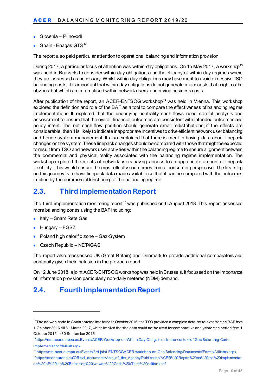- Slovenia Plinovodi
- Spain Enagás GTS<sup>[12](#page-9-2)</sup>

The report also paid particular attention to operational balancing and information provision.

During 2017, a particular focus of attention was within-day obligations. On 15 May 2017, a workshop<sup>[13](#page-9-3)</sup> was held in Brussels to consider within-day obligations and the efficacy of within-day regimes where they are assessed as necessary. Whilst within-day obligations may have merit to avoid excessive TSO balancing costs, it is important that within-day obligations do not generate major costs that might not be obvious but which are internalised within network users' underlying business costs.

After publication of the report, an ACER-ENTSOG workshop<sup>[14](#page-9-4)</sup> was held in Vienna. This workshop explored the definition and role of the BAF as a tool to compare the effectiveness of balancing regime implementations. It explored that the underlying neutrality cash flows need careful analysis and assessment to ensure that the overall financial outcomes are consistent with intended outcomes and policy intent. The net cash flow position should generate small redistributions; if the effects are considerable, then it is likely to indicate inappropriate incentives to drive efficient network user balancing and hence system management. It also explained that there is merit in having data about linepack changes on the system. These linepack changes should be compared with those that might be expected to result from TSO and network user activities within the balancing regime to ensure alignment between the commercial and physical reality associated with the balancing regime implementation. The workshop explored the merits of network users having access to an appropriate amount of linepack flexibility. This would ensure the most effective outcomes from a consumer perspective. The first step on this journey is to have linepack data made available so that it can be compared with the outcomes implied by the commercial functioning of the balancing regime.

## <span id="page-9-0"></span>**2.3. Third Implementation Report**

The third implementation monitoring report<sup>[15](#page-9-5)</sup> was published on 6 August 2018. This report assessed more balancing zones using the BAF including:

- Italy Snam Rete Gas
- Hungary FGSZ

-

- Poland high calorific zone Gaz-System
- Czech Republic NET4GAS

The report also reassessed UK (Great Britain) and Denmark to provide additional comparators and continuity given their inclusion in the previous report.

On 12 June 2018, a joint ACER-ENTSOG workshop was held in Brussels. It focussed on the importance of information provision particularly non-daily metered (NDM) demand.

### <span id="page-9-1"></span>**2.4. Fourth Implementation Report**

<span id="page-9-2"></span> $12$  The network code in Spain entered into force in October 2016: the TSO provided a complete data-set relevant for the BAF from 1 October 2016 till 31 March 2017, which implied thatthe data could not be used for comparative analysis for the period from 1 October 2015 to 30 September 2016.

<span id="page-9-3"></span><sup>1</sup>[3https://nra.acer.europa.eu/Events/ACER-Workshop-on-Within-Day-Obligations-In-the-context-of-Gas-Balancing-Code](https://nra.acer.europa.eu/Events/ACER-Workshop-on-Within-Day-Obligations-In-the-context-of-Gas-Balancing-Code-implementation/default.aspx)[implementation/default.aspx](https://nra.acer.europa.eu/Events/ACER-Workshop-on-Within-Day-Obligations-In-the-context-of-Gas-Balancing-Code-implementation/default.aspx)

<span id="page-9-4"></span><sup>14</sup> <https://nra.acer.europa.eu/Events/3rd-joint-ENTSOGACER-workshop-on-Gas-Balancing/Documents/Forms/AllItems.aspx>

<span id="page-9-5"></span><sup>&</sup>lt;sup>15</sup>https://acer.europa.eu/Official\_documents/Acts\_of\_the\_Agency/Publication/ACER%20Report%20on%20the%20implementati [on%20of%20the%20Balancing%20Network%20Code%20\(Third%20edition\).pdf](https://acer.europa.eu/Official_documents/Acts_of_the_Agency/Publication/ACER%20Report%20on%20the%20implementation%20of%20the%20Balancing%20Network%20Code%20(Third%20edition).pdf)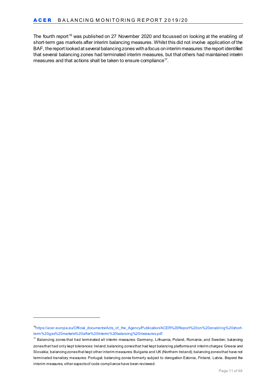The fourth report<sup>[16](#page-10-0)</sup> was published on 27 November 2020 and focussed on looking at the enabling of short-term gas markets after interim balancing measures. Whilst this did not involve application of the BAF, the report looked at several balancing zones with a focus on interim measures: the report identified that several balancing zones had terminated interim measures, but that others had maintained interim measures and that actions shall be taken to ensure compliance<sup>17</sup>.

-

<span id="page-10-0"></span><sup>1</sup>[6https://acer.europa.eu/Official\\_documents/Acts\\_of\\_the\\_Agency/Publication/ACER%20Report%20on%20enabling%20short](https://acer.europa.eu/Official_documents/Acts_of_the_Agency/Publication/ACER%20Report%20on%20enabling%20short-term%20gas%20markets%20after%20interim%20balancing%20measures.pdf)[term%20gas%20markets%20after%20interim%20balancing%20measures.pdf](https://acer.europa.eu/Official_documents/Acts_of_the_Agency/Publication/ACER%20Report%20on%20enabling%20short-term%20gas%20markets%20after%20interim%20balancing%20measures.pdf)

<span id="page-10-1"></span><sup>&</sup>lt;sup>17</sup> Balancing zones that had terminated all interim measures: Germany, Lithuania, Poland, Romania, and Sweden; balancing zones that had only kept tolerances: Ireland; balancing zones that had kept balancing platforms and interim charges: Greece and Slovakia; balancing zones that kept other interim measures: Bulgaria and UK (Northern Ireland); balancing zones that have not terminated transitory measures: Portugal; balancing zones formerly subject to derogation Estonia, Finland, Latvia. Beyond the interim measures, other aspects of code compliance have been reviewed.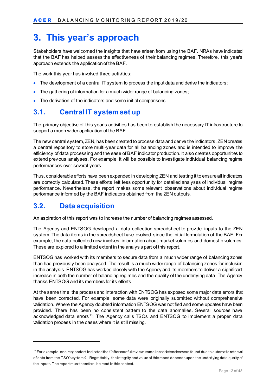# <span id="page-11-0"></span>**3. This year's approach**

Stakeholders have welcomed the insights that have arisen from using the BAF. NRAs have indicated that the BAF has helped assess the effectiveness of their balancing regimes. Therefore, this year's approach extends the application of the BAF.

The work this year has involved three activities:

- The development of a central IT system to process the input data and derive the indicators;
- The gathering of information for a much wider range of balancing zones;
- The derivation of the indicators and some initial comparisons.

### <span id="page-11-1"></span>**3.1. Central IT system set up**

The primary objective of this year's activities has been to establish the necessary IT infrastructure to support a much wider application of the BAF.

The new central system, ZEN, has been created to process data and derive the indicators. ZEN creates a central repository to store multi-year data for all balancing zones and is intended to improve the efficiency of data processing and the ease of BAF indicator production. It also creates opportunities to extend previous analyses. For example, it will be possible to investigate individual balancing regime performances over several years.

Thus, considerable efforts have been expended in developing ZEN and testing it to ensure all indicators are correctly calculated. These efforts left less opportunity for detailed analyses of individual regime performance. Nevertheless, the report makes some relevant observations about individual regime performance informed by the BAF indicators obtained from the ZEN outputs.

### <span id="page-11-2"></span>**3.2. Data acquisition**

-

An aspiration of this report was to increase the number of balancing regimes assessed.

The Agency and ENTSOG developed a data collection spreadsheet to provide inputs to the ZEN system. The data items in the spreadsheet have evolved since the initial formulation of the BAF. For example, the data collected now involves information about market volumes and domestic volumes. These are explored to a limited extent in the analysis part of this report.

ENTSOG has worked with its members to secure data from a much wider range of balancing zones than had previously been analysed. The result is a much wider range of balancing zones for inclusion in the analysis. ENTSOG has worked closely with the Agency and its members to deliver a significant increase in both the number of balancing regimes and the quality of the underlying data. The Agency thanks ENTSOG and its members for its efforts.

At the same time, the process and interaction with ENTSOG has exposed some major data errors that have been corrected. For example, some data were originally submitted without comprehensive validation. Where the Agency doubted information ENTSOG was notified and some updates have been provided. There has been no consistent pattern to the data anomalies. Several sources have acknowledged data errors<sup>[18](#page-11-3)</sup>. The Agency calls TSOs and ENTSOG to implement a proper data validation process in the cases where it is still missing.

<span id="page-11-3"></span> $18$  For example, one respondent indicated that "after careful review, some inconsistencies were found due to automatic retrieval of data from the TSO's systems". Regrettably, the integrity and value of this report depends upon the underlying data quality of the inputs. The report must therefore, be read in this context.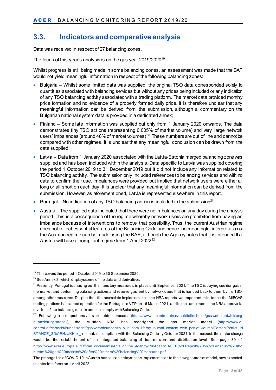## <span id="page-12-0"></span>**3.3. Indicators and comparative analysis**

Data was received in respect of 27 balancing zones.

The focus of this year's analysis is on the gas year 20[19](#page-12-1)/2020<sup>19</sup>.

Whilst progress is still being made in some balancing zones, an assessment was made that the BAF would not yield meaningful information in respect of the following balancing zones:

- Bulgaria Whilst some limited data was supplied, the original TSO data corresponded solely to quantities associated with balancing services but without any prices being included or any indication of any TSO balancing activity associated with a trading platform. The market data provided monthly price formation and no evidence of a properly formed daily price. It is therefore unclear that any meaningful information can be derived from the submission, although a commentary on the Bulgarian national system data is provided in a dedicated annex;
- Finland Some late information was supplied but only from 1 January 2020 onwards. The data demonstrates tiny TSO actions (representing 0.005% of market volume) and very large network users' imbalances (around 48% of market volumes) $^{20}$  $^{20}$  $^{20}$ . These numbers are out of line and cannot be compared with other regimes. It is unclear that any meaningful conclusion can be drawn from the data supplied.
- Latvia Data from 1 January 2020 associated with the Latvia-Estonia merged balancing zone was supplied and has been included within the analysis. Data specific to Latvia was supplied covering the period 1 October 2019 to 31 December 2019 but it did not include any information related to TSO balancing activity. The submission only included references to balancing services and with no data to confirm their use. Imbalances were provided but implied that network users were either all long or all short on each day. It is unclear that any meaningful information can be derived from the submission. However, as aforementioned, Latvia is represented elsewhere in this report.
- Portugal No indication of any TSO balancing action is included in the submission<sup>[21](#page-12-3)</sup>.
- Austria The supplied data indicated that there were no imbalances on any day during the analysis period. This is a consequence of the regime whereby network users are prohibited from having an imbalance because of interventions to remove that possibility. Thus, the current Austrian regime does not reflect essential features of the Balancing Code and hence, no meaningful interpretation of the Austrian regime can be made using the BAF, although the Agency notes that it is intended that Austria will have a compliant regime from 1 April 2022<sup>22</sup>.

-

<span id="page-12-1"></span><sup>&</sup>lt;sup>19</sup> This covers the period 1 October 2019 to 30 September 2020.

<span id="page-12-2"></span> $20$  See Annex 3, which displays some of the data and derivatives.

<span id="page-12-3"></span><sup>&</sup>lt;sup>21</sup> Presently, Portugal is phasing out the transitory measures, in place until September 2021. The TSO is buying cushion gas in the market and performing balancing actions and reserve gas lent by network users that is handed back to them by the TSO, among other measures. Despite the still incomplete implementation, the NRA reports two important milestones: the MIBGAS trading platform has started operation for the Portuguese VTP on 16 March 2021, and in the same month the NRA approved a revision of the balancing rules in order to comply with Balancing Code.

<span id="page-12-4"></span> $22$  Following a comprehensive stakeholder process [\(https://www.e-control.at/en/marktteilnehmer/gas/weiterentwicklung](https://www.e-control.at/en/marktteilnehmer/gas/weiterentwicklung-bilanzierungsmodell)[bilanzierungsmodell\)](https://www.e-control.at/en/marktteilnehmer/gas/weiterentwicklung-bilanzierungsmodell), the Austrian NRA has redesigned the gas market model [\(https://www.e](https://www.e-control.at/en/recht/bundesrecht/gas/verordnungen#p_p_id_com_liferay_journal_content_web_portlet_JournalContentPortlet_INSTANCE_3Ds9EHzUKHax_)[control.at/en/recht/bundesrecht/gas/verordnungen#p\\_p\\_id\\_com\\_liferay\\_journal\\_content\\_web\\_portlet\\_JournalContentPortlet\\_IN](https://www.e-control.at/en/recht/bundesrecht/gas/verordnungen#p_p_id_com_liferay_journal_content_web_portlet_JournalContentPortlet_INSTANCE_3Ds9EHzUKHax_) [STANCE\\_3Ds9EHzUKHax\\_](https://www.e-control.at/en/recht/bundesrecht/gas/verordnungen#p_p_id_com_liferay_journal_content_web_portlet_JournalContentPortlet_INSTANCE_3Ds9EHzUKHax_) ) to make it compliant with the Balancing Code by October 2021. In this respect, the major change would be the establishment of an integrated balancing of transmission and distribution level. See page 30 of: [https://www.acer.europa.eu/Official\\_documents/Acts\\_of\\_the\\_Agency/Publication/ACER%20Report%20on%20enabling%20sho](https://www.acer.europa.eu/Official_documents/Acts_of_the_Agency/Publication/ACER%20Report%20on%20enabling%20short-term%20gas%20markets%20after%20interim%20balancing%20measures.pdf) [rt-term%20gas%20markets%20after%20interim%20balancing%20measures.pdf](https://www.acer.europa.eu/Official_documents/Acts_of_the_Agency/Publication/ACER%20Report%20on%20enabling%20short-term%20gas%20markets%20after%20interim%20balancing%20measures.pdf)

The propagation of COVID-19 in Austria has caused delays to the implementation to the new gas market model, now expected to enter into force on 1 April 2022.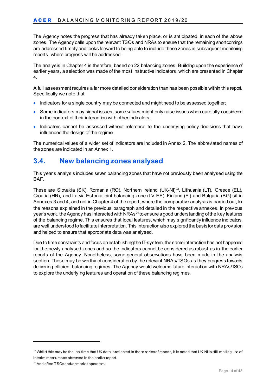The Agency notes the progress that has already taken place, or is anticipated, in each of the above zones. The Agency calls upon the relevant TSOs and NRAs to ensure that the remaining shortcomings are addressed timely and looks forward to being able to include these zones in subsequent monitoring reports, where progress will be addressed.

The analysis in Chapter 4 is therefore, based on 22 balancing zones. Building upon the experience of earlier years, a selection was made of the most instructive indicators, which are presented in Chapter 4.

A full assessment requires a far more detailed consideration than has been possible within this report. Specifically we note that:

- Indicators for a single country may be connected and might need to be assessed together;
- Some indicators may signal issues, some values might only raise issues when carefully considered in the context of their interaction with other indicators;
- Indicators cannot be assessed without reference to the underlying policy decisions that have influenced the design of the regime.

The numerical values of a wider set of indicators are included in Annex 2. The abbreviated names of the zones are indicated in an Annex 1.

### <span id="page-13-0"></span>**3.4. New balancing zones analysed**

This year's analysis includes seven balancing zones that have not previously been analysed using the BAF.

These are Slovakia (SK), Romania (RO), Northern Ireland (UK-NI)<sup>23</sup>, Lithuania (LT), Greece (EL), Croatia (HR), and Latvia-Estonia joint balancing zone (LV-EE). Finland (FI) and Bulgaria (BG) sit in Annexes 3 and 4, and not in Chapter 4 of the report, where the comparative analysis is carried out, for the reasons explained in the previous paragraph and detailed in the respective annexes. In previous year's work, the Agency has interacted with NRAs $^{24}$  $^{24}$  $^{24}$  to ensure a good understanding of the key features of the balancing regime. This ensures that local features, which may significantly influence indicators, are well understood to facilitate interpretation. This interaction also explored the basis for data provision and helped to ensure that appropriate data was analysed.

Due to time constraints and focus on establishing the IT-system, the same interaction has not happened for the newly analysed zones and so the indicators cannot be considered as robust as in the earlier reports of the Agency. Nonetheless, some general observations have been made in the analysis section. These may be worthy of consideration by the relevant NRAs/TSOs as they progress towards delivering efficient balancing regimes. The Agency would welcome future interaction with NRAs/TSOs to explore the underlying features and operation of these balancing regimes.

-

<span id="page-13-1"></span> $^{23}$  Whilst this may be the last time that UK data is reflected in these series of reports, it is noted that UK-NI is still making use of interim measures as observed in the earlier report.

<span id="page-13-2"></span><sup>&</sup>lt;sup>24</sup> And often TSOs and/or market operators.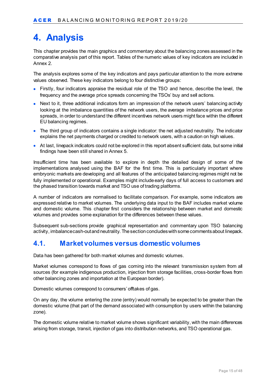# <span id="page-14-0"></span>**4. Analysis**

This chapter provides the main graphics and commentary about the balancing zones assessed in the comparative analysis part of this report. Tables of the numeric values of key indicators are included in Annex 2.

The analysis explores some of the key indicators and pays particular attention to the more extreme values observed. These key indicators belong to four distinctive groups:

- Firstly, four indicators appraise the residual role of the TSO and hence, describe the level, the frequency and the average price spreads concerning the TSOs' buy and sell actions.
- Next to it, three additional indicators form an impression of the network users' balancing activity looking at the imbalance quantities of the network users, the average imbalance prices and price spreads, in order to understand the different incentives network users might face within the different EU balancing regimes.
- The third group of indicators contains a single indicator: the net adjusted neutrality. The indicator explains the net payments charged or credited to network users, with a caution on high values.
- At last, linepack indicators could not be explored in this report absent sufficient data, but some initial findings have been still shared in Annex 5.

Insufficient time has been available to explore in depth the detailed design of some of the implementations analysed using the BAF for the first time. This is particularly important where embryonic markets are developing and all features of the anticipated balancing regimes might not be fully implemented or operational. Examples might include early days of full access to customers and the phased transition towards market and TSO use of trading platforms.

A number of indicators are normalised to facilitate comparison. For example, some indicators are expressed relative to market volumes. The underlying data input to the BAF includes market volume and domestic volume. This chapter first considers the relationship between market and domestic volumes and provides some explanation for the differences between these values.

Subsequent sub-sections provide graphical representation and commentary upon TSO balancing activity, imbalance cash-outand neutrality. The section concludes with some comments about linepack.

### <span id="page-14-1"></span>**4.1. Market volumes versus domestic volumes**

Data has been gathered for both market volumes and domestic volumes.

Market volumes correspond to flows of gas coming into the relevant transmission system from all sources (for example indigenous production, injection from storage facilities, cross-border flows from other balancing zones and importation at the European border).

Domestic volumes correspond to consumers' offtakes of gas.

On any day, the volume entering the zone (entry) would normally be expected to be greater than the domestic volume (that part of the demand associated with consumption by users within the balancing zone).

The domestic volume relative to market volume shows significant variability, with the main differences arising from storage, transit, injection of gas into distribution networks, and TSO operational gas.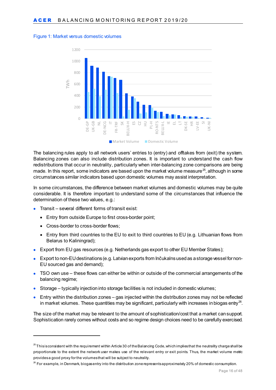<span id="page-15-2"></span>



The balancing rules apply to all network users' entries to (entry) and offtakes from (exit) the system. Balancing zones can also include distribution zones. It is important to understand the cash flow redistributions that occur in neutrality, particularly when inter-balancing zone comparisons are being made. In this report, some indicators are based upon the market volume measure<sup>[25](#page-15-0)</sup>, although in some circumstances similar indicators based upon domestic volumes may assist interpretation.

In some circumstances, the difference between market volumes and domestic volumes may be quite considerable. It is therefore important to understand some of the circumstances that influence the determination of these two values, e.g.:

- Transit several different forms of transit exist:
	- Entry from outside Europe to first cross-border point;
	- Cross-border to cross-border flows;

-

- Entry from third countries to the EU to exit to third countries to EU (e.g. Lithuanian flows from Belarus to Kaliningrad);
- Export from EU gas resources (e.g. Netherlands gas export to other EU Member States);
- Export to non-EU destinations (e.g. Latvian exports from Inčukalns used as a storage vessel for non-EU sourced gas and demand);
- TSO own use these flows can either be within or outside of the commercial arrangements of the balancing regime;
- Storage typically injection into storage facilities is not included in domestic volumes;
- Entry within the distribution zones gas injected within the distribution zones may not be reflected in market volumes. These quantities may be significant, particularly with increases in biogas entry $^{26}$ .

The size of the market may be relevant to the amount of sophistication/cost that a market can support. Sophistication rarely comes without costs and so regime design choices need to be carefully exercised.

<span id="page-15-0"></span> $^{25}$ This is consistent with the requirement within Article 30 of the Balancing Code, which implies that the neutrality charge shall be proportionate to the extent the network user makes use of the relevant entry or exit points. Thus, the market volume metric provides a good proxy for the volumes that will be subject to neutrality.

<span id="page-15-1"></span><sup>&</sup>lt;sup>26</sup> For example, in Denmark, biogas entry into the distribution zone represents approximately 20% of domestic consumption.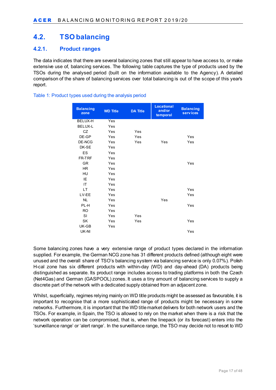### <span id="page-16-0"></span>**4.2. TSO balancing**

#### <span id="page-16-1"></span>**4.2.1. Product ranges**

The data indicates that there are several balancing zones that still appear to have access to, or make extensive use of, balancing services. The following table captures the type of products used by the TSOs during the analysed period (built on the information available to the Agency). A detailed comparison of the share of balancing services over total balancing is out of the scope of this year's report.

#### **Balancing zone WD Title DA Title Locational and/or temporal Balancing serv ices** BELUX-H Yes BELUX-L Yes CZ Yes Yes DE-GP Yes Yes Yes DE-NCG Yes Yes Yes Yes DK-SE Yes ES Yes FR-TRF Yes GR Yes Yes HR Yes HU Yes IE Yes IT Yes LT Yes Yes LV-EE Yes Yes NL Yes Yes PL-H Yes Yes RO Yes SI Yes Yes SK Yes Yes Yes UK-GB Yes UK-NI Yes

#### <span id="page-16-2"></span>Table 1: Product types used during the analysis period

Some balancing zones have a very extensive range of product types declared in the information supplied. For example, the German NCG zone has 31 different products defined (although eight were unused and the overall share of TSO's balancing system via balancing service is only 0.07%). Polish H-cal zone has six different products with within-day (WD) and day-ahead (DA) products being distinguished as separate. Its product range includes access to trading platforms in both the Czech (Net4Gas) and German (GASPOOL) zones. It uses a tiny amount of balancing services to supply a discrete part of the network with a dedicated supply obtained from an adjacent zone.

Whilst, superficially, regimes relying mainly on WD title products might be assessed as favourable, it is important to recognise that a more sophisticated range of products might be necessary in some networks. Furthermore, it is important that the WD title market delivers for both network users and the TSOs. For example, in Spain, the TSO is allowed to rely on the market when there is a risk that the network operation can be compromised, that is, when the linepack (or its forecast) enters into the 'surveillance range' or 'alert range'. In the surveillance range, the TSO may decide not to resort to WD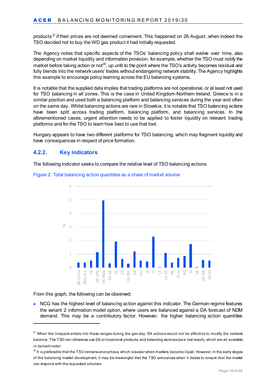products<sup>[27](#page-17-1)</sup> if their prices are not deemed convenient. This happened on 26 August, when indeed the TSO decided not to buy the WD gas product it had initially requested.

The Agency notes that specific aspects of the TSOs' balancing policy shall evolve over time, also depending on market liquidity and information provision: for example, whether the TSO must notify the market before taking action or not<sup>[28](#page-17-2)</sup>, up until to the point where the TSO's activity becomes residual and fully blends into the network users' trades without endangering network stability. The Agency highlights this example to encourage policy learning across the EU balancing systems.

It is notable that the supplied data implies that trading platforms are not operational, or at least not used for TSO balancing in all zones. This is the case in United Kingdom-Northern Ireland. Greece is in a similar position and used both a balancing platform and balancing services during the year and often on the same day. Whilst balancing actions are rare in Slovakia, it is notable that TSO balancing actions have been split across trading platform, balancing platform, and balancing services. In the aforementioned cases, urgent attention needs to be applied to foster liquidity on relevant trading platforms and for the TSO to learn how best to use that tool.

Hungary appears to have two different platforms for TSO balancing, which may fragment liquidity and have consequences in respect of price formation.

#### <span id="page-17-0"></span>**4.2.2. Key indicators**

The following indicator seeks to compare the relative level of TSO balancing actions.



<span id="page-17-3"></span>Figure 2: Total balancing action quantities as a share of market volume

From this graph, the following can be observed:

-

• NCG has the highest level of balancing action against this indicator. The German regime features the variant 2 information model option, where users are balanced against a DA forecast of NDM demand. This may be a contributory factor. However, the higher balancing action quantities

<span id="page-17-1"></span> $27$  When the linepack enters into these ranges during the gas day, DA actions would not be effective to modify the network balance. The TSO can otherwise use DA or locational products, and balancing services (as a last resort), which are all available in its merit order.

<span id="page-17-2"></span> $28$  It is preferable that the TSO remainsanonymous, which is easier when markets become liquid. However, in the early stages of the balancing market development, it may be meaningful that the TSO announces when it trades to ensure that the market can respond with the requested volumes.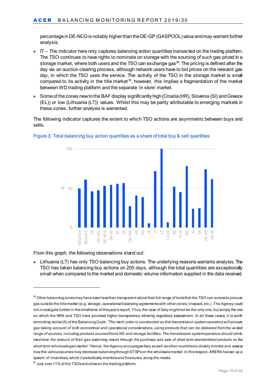percentage in DE-NCG is notably higher than the DE-GP (GASPOOL) value and may warrant further analysis.

- IT The indicator here only captures balancing action quantities transacted on the trading platform. The TSO continues to have rights to nominate on storage with the sourcing of such gas priced in a storage market, where both users and the TSO can exchange gas $^{29}$  $^{29}$  $^{29}$ . The pricing is defined after the day via an auction clearing process, although network users have to bid prices on the relevant gas day, in which the TSO uses the service. The activity of the TSO in the storage market is small compared to its activity in the title market<sup>[30](#page-18-1)</sup>, however, this implies a fragmentation of the market between WD trading platform and the separate 'in store' market.
- Some of the zones new to the BAF display significantly high (Croatia (HR), Slovenia (SI) and Greece (EL)) or low (Lithuania (LT)) values. Whilst this may be partly attributable to emerging markets in these zones, further analysis is warranted.

The following indicator captures the extent to which TSO actions are asymmetric between buys and sells.



#### <span id="page-18-2"></span>Figure 3: Total balancing buy action quantities as a share of total buy & sell quantities

From this graph, the following observations stand out:

-

• Lithuania (LT) has only TSO balancing buy actions. The underlying reasons warrants analysis. The TSO has taken balancing buy actions on 205 days, although the total quantities are exceptionally small when compared to the market and domestic volume information supplied in the data received.

<span id="page-18-0"></span> $^{29}$  Other balancing zones may have been less than transparent about their full range of tools that the TSO can access to procure gas outside the title market (e.g. storage, operational balancing agreements with other zones, linepack, etc.). The Agency could not investigate further in the timeframe of this year's report. Thus, the case of Italy might not be the only one, but simply the one on which the NRA and TSO have provided higher transparency allowing regulatory assessment. In all these cases, it is worth reminding recital (5) of the Balancing Code: *"The merit order is constructed so that transmission system operators will procure gas taking account of both economical and operational considerations, using products that can be delivered from the widest range of sources, including products sourced from LNG and storage facilities. The transmission system operators should aim to maximise the amount of their gas balancing needs through the purchase and sale of short term standardised products on the short term wholesale gas market."* Hence, the Agency encourages Italy as well as other countries to closely monitor and assess how the varioussources may decrease balancing through STSPson the wholesale market. In this respect, ARERA has set up a system of incentives, which it periodically monitors and fine-tunes, along the needs.

<span id="page-18-1"></span> $30$  Just over 11% of the TSOs activities on the trading platform.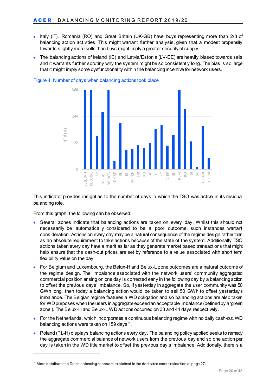- Italy (IT), Romania (RO) and Great Britain (UK-GB) have buys representing more than 2/3 of balancing action activities. This might warrant further analysis, given that a modest propensity towards slightly more sells than buys might imply a greater security of supply;
- The balancing actions of Ireland (IE) and Latvia/Estonia (LV-EE) are heavily biased towards sells and it warrants further scrutiny why the system might be so consistently long. The bias is so large that it might imply some dysfunctionality within the balancing incentive for network users.



<span id="page-19-1"></span>Figure 4: Number of days when balancing actions took place

This indicator provides insight as to the number of days in which the TSO was active in its residual balancing role.

From this graph, the following can be observed:

-

- Several zones indicate that balancing actions are taken on every day. Whilst this should not necessarily be automatically considered to be a poor outcome, such instances warrant consideration. Actions on every day may be a natural consequence of the regime design rather than as an absolute requirement to take actions because of the state of the system. Additionally, TSO actions taken every day have a merit as far as they generate market based transactions that might help ensure that the cash-out prices are set by reference to a value associated with short term flexibility value on the day.
- For Belgium and Luxembourg, the Belux-H and Belux-L zone outcomes are a natural outcome of the regime design. The imbalance associated with the network users' community aggregated commercial position arising on one day is corrected early in the following day by a balancing action to offset the previous days' imbalance. So, if yesterday in aggregate the user community was 50 GWh long, then today a balancing action would be taken to sell 50 GWh to offset yesterday's imbalance. The Belgian regime features a WD obligation and so balancing actions are also taken for WDpurposes when the users in aggregate exceed an acceptable imbalance (defined by a 'green zone'). The Belux-H and Belux-L WD actions occurred on 33 and 44 days respectively.
- For the Netherlands, which incorporates a continuous balancing regime with no daily cash-out, WD balancing actions were taken on 159 days $^{31}$ .
- Poland (PL-H) displays balancing actions every day. The balancing policy applied seeks to remedy the aggregate commercial balance of network users from the previous day and so one action per day is taken in the WD title market to offset the previous day's imbalance. Additionally, there is a

<span id="page-19-0"></span><sup>&</sup>lt;sup>31</sup> More details on the Dutch balancing zones are explained in the dedicated case exploration at page 27.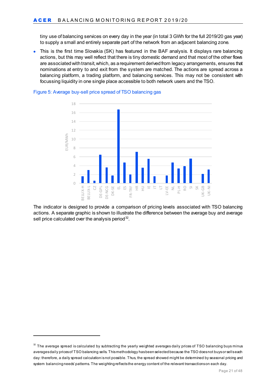tiny use of balancing services on every day in the year (in total 3 GWh for the full 2019/20 gas year) to supply a small and entirely separate part of the network from an adjacent balancing zone.

• This is the first time Slovakia (SK) has featured in the BAF analysis. It displays rare balancing actions, but this may well reflect that there is tiny domestic demand and that most of the other flows are associated with transit, which, as a requirement derived from legacy arrangements, ensures that nominations at entry to and exit from the system are matched. The actions are spread across a balancing platform, a trading platform, and balancing services. This may not be consistent with focussing liquidity in one single place accessible to both network users and the TSO.



#### <span id="page-20-1"></span>Figure 5: Average buy-sell price spread of TSO balancing gas

The indicator is designed to provide a comparison of pricing levels associated with TSO balancing actions. A separate graphic is shown to illustrate the difference between the average buy and average sell price calculated over the analysis period $32$ .

-

<span id="page-20-0"></span> $32$  The average spread is calculated by subtracting the yearly weighted averages daily prices of TSO balancing buys minus averages daily prices of TSO balancing sells. This methodology has been selected because the TSO does not buys or sells each day: therefore, a daily spread calculation is not possible. Thus, the spread showed might be determined by seasonal pricing and system balancing needs' patterns. The weighting reflects the energy content of the relevant transactions on each day.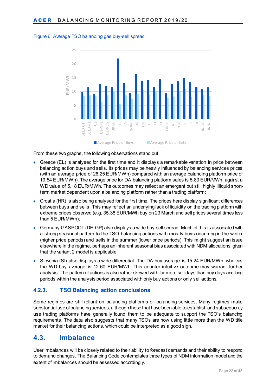

#### <span id="page-21-2"></span>Figure 6: Average TSO balancing gas buy-sell spread

From these two graphs, the following observations stand out:

- Greece (EL) is analysed for the first time and it displays a remarkable variation in price between balancing action buys and sells. Its prices may be heavily influenced by balancing services prices (with an average price of 26.25 EUR/MWh) compared with an average balancing platform price of 19.54 EUR/MWh). The average price for DA balancing platform sales is 5.83 EUR/MWh, against a WD value of 5.18 EUR/MWh. The outcomes may reflect an emergent but still highly illiquid shortterm market dependent upon a balancing platform rather than a trading platform;
- Croatia (HR) is also being analysed for the first time. The prices here display significant differences between buys and sells. This may reflect an underlying lack of liquidity on the trading platform with extreme prices observed (e.g. 35.38 EUR/MWh buy on 23 March and sell prices several times less than 5 EUR/MWh);
- Germany GASPOOL (DE-GP) also displays a wide buy-sell spread. Much of this is associated with a strong seasonal pattern to the TSO balancing actions with mostly buys occurring in the winter (higher price periods) and sells in the summer (lower price periods). This might suggest an issue elsewhere in the regime, perhaps an inherent seasonal bias associated with NDM allocations, given that the variant 2 model is applicable;
- Slovenia (SI) also displays a wide differential. The DA buy average is 15.24 EUR/MWh, whereas the WD buy average is 12.60 EUR/MWh. This counter intuitive outcome may warrant further analysis. The pattern of actions is also rather skewed with far more sell days than buy days and long periods within the analysis period associated with only buy actions or only sell actions.

#### <span id="page-21-0"></span>**4.2.3. TSO Balancing action conclusions**

Some regimes are still reliant on balancing platforms or balancing services. Many regimes make substantial use of balancing services, although those that have been able to establish and subsequently use trading platforms have generally found them to be adequate to support the TSO's balancing requirements. The data also suggests that many TSOs are now using little more than the WD title market for their balancing actions, which could be interpreted as a good sign.

### <span id="page-21-1"></span>**4.3. Imbalance**

User imbalances will be closely related to their ability to forecast demands and their ability to respond to demand changes. The Balancing Code contemplates three types of NDM information model and the extent of imbalances should be assessed accordingly.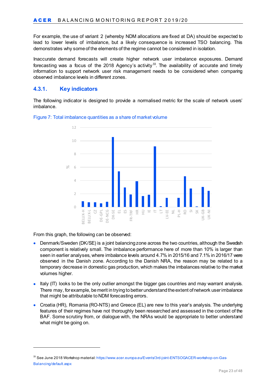For example, the use of variant 2 (whereby NDM allocations are fixed at DA) should be expected to lead to lower levels of imbalance, but a likely consequence is increased TSO balancing. This demonstrates why some of the elements of the regime cannot be considered in isolation.

Inaccurate demand forecasts will create higher network user imbalance exposures. Demand forecasting was a focus of the 2018 Agency's activity<sup>[33](#page-22-1)</sup>. The availability of accurate and timely information to support network user risk management needs to be considered when comparing observed imbalance levels in different zones.

#### <span id="page-22-0"></span>**4.3.1. Key indicators**

The following indicator is designed to provide a normalised metric for the scale of network users' imbalance.



#### <span id="page-22-2"></span>Figure 7: Total imbalance quantities as a share of market volume

From this graph, the following can be observed:

-

- Denmark/Sweden (DK/SE) is a joint balancing zone across the two countries, although the Swedish component is relatively small. The imbalance performance here of more than 10% is larger than seen in earlier analyses, where imbalance levels around 4.7% in 2015/16 and 7.1% in 2016/17 were observed in the Danish zone. According to the Danish NRA, the reason may be related to a temporary decrease in domestic gas production, which makes the imbalances relative to the market volumes higher.
- Italy (IT) looks to be the only outlier amongst the bigger gas countries and may warrant analysis. There may, for example, be merit in trying to better understand the extent of network user imbalance that might be attributable to NDM forecasting errors.
- Croatia (HR), Romania (RO-NTS) and Greece (EL) are new to this year's analysis. The underlying features of their regimes have not thoroughly been researched and assessed in the context of the BAF. Some scrutiny from, or dialogue with, the NRAs would be appropriate to better understand what might be going on.

<span id="page-22-1"></span><sup>33</sup> See June 2018 Workshop material[: https://www.acer.europa.eu/Events/3rd-joint-ENTSOGACER-workshop-on-Gas-](https://www.acer.europa.eu/Events/3rd-joint-ENTSOGACER-workshop-on-Gas-Balancing/default.aspx)[Balancing/default.aspx](https://www.acer.europa.eu/Events/3rd-joint-ENTSOGACER-workshop-on-Gas-Balancing/default.aspx)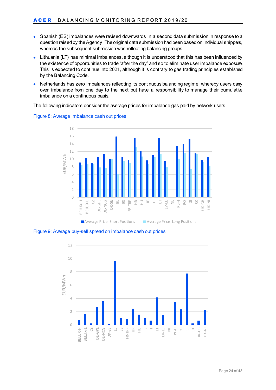- Spanish (ES) imbalances were revised downwards in a second data submission in response to a question raised by the Agency. The original data submission had been based on individual shippers, whereas the subsequent submission was reflecting balancing groups.
- Lithuania (LT) has minimal imbalances, although it is understood that this has been influenced by the existence of opportunities to trade 'after the day' and so to eliminate user imbalance exposure. This is expected to continue into 2021, although it is contrary to gas trading principles established by the Balancing Code.
- Netherlands has zero imbalances reflecting its continuous balancing regime, whereby users carry over imbalance from one day to the next but have a responsibility to manage their cumulative imbalance on a continuous basis.

The following indicators consider the average prices for imbalance gas paid by network users.



<span id="page-23-0"></span>Figure 8: Average imbalance cash out prices

<span id="page-23-1"></span>Figure 9: Average buy-sell spread on imbalance cash out prices

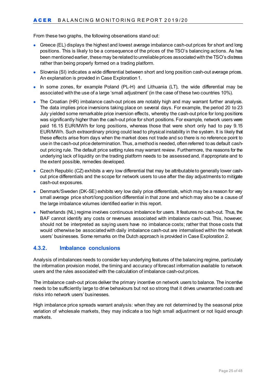From these two graphs, the following observations stand out:

- Greece (EL) displays the highest and lowest average imbalance cash-out prices for short and long positions. This is likely to be a consequence of the prices of the TSO's balancing actions. As has been mentioned earlier, these may be related to unreliable prices associated with the TSO's distress rather than being properly formed on a trading platform.
- Slovenia (SI) indicates a wide differential between short and long position cash-out average prices. An explanation is provided in Case Exploration 1.
- In some zones, for example Poland (PL-H) and Lithuania (LT), the wide differential may be associated with the use of a large 'small adjustment' (in the case of these two countries 10%).
- The Croatian (HR) imbalance cash-out prices are notably high and may warrant further analysis. The data implies price inversions taking place on several days. For example, the period 20 to 23 July yielded some remarkable price inversion effects, whereby the cash-out price for long positions was significantly higher than the cash-out price for short positions. For example, network users were paid 16.15 EUR/MWh for long positions, whereas those that were short only had to pay 9.15 EUR/MWh. Such extraordinary pricing could lead to physical instability in the system. It is likely that these effects arise from days when the market does not trade and so there is no reference point to use in the cash-out price determination. Thus, a method is needed, often referred to as default cashout pricing rule. The default price setting rules may warrant review. Furthermore, the reasons for the underlying lack of liquidity on the trading platform needs to be assessed and, if appropriate and to the extent possible, remedies developed.
- Czech Republic (CZ) exhibits a very low differential that may be attributable to generally lower cashout price differentials and the scope for network users to use after the day adjustments to mitigate cash-out exposures.
- Denmark/Sweden (DK-SE) exhibits very low daily price differentials, which may be a reason for very small average price short/long position differential in that zone and which may also be a cause of the large imbalance volumes identified earlier in this report.
- Netherlands (NL) regime involves continuous imbalance for users. It features no cash-out. Thus, the BAF cannot identify any costs or revenues associated with imbalance cash-out. This, however, should not be interpreted as saying users have no imbalance costs; rather that those costs that would otherwise be associated with daily imbalance cash-out are internalised within the network users' businesses. Some remarks on the Dutch approach is provided in Case Exploration 2.

#### <span id="page-24-0"></span>**4.3.2. Imbalance conclusions**

Analysis of imbalances needs to consider key underlying features of the balancing regime, particularly the information provision model, the timing and accuracy of forecast information available to network users and the rules associated with the calculation of imbalance cash-out prices.

The imbalance cash-out prices deliver the primary incentive on network users to balance. The incentive needs to be sufficiently large to drive behaviours but not so strong that it drives unwarranted costs and risks into network users' businesses.

High imbalance price spreads warrant analysis: when they are not determined by the seasonal price variation of wholesale markets, they may indicate a too high small adjustment or not liquid enough markets.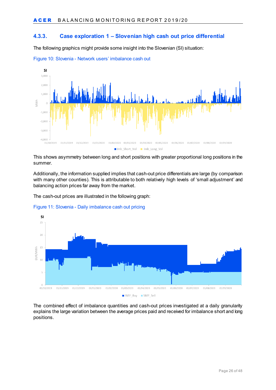#### <span id="page-25-0"></span>**4.3.3. Case exploration 1 – Slovenian high cash out price differential**

The following graphics might provide some insight into the Slovenian (SI) situation:



<span id="page-25-1"></span>Figure 10: Slovenia - Network users' imbalance cash out

This shows asymmetry between long and short positions with greater proportional long positions in the summer.

Additionally, the information supplied implies that cash-out price differentials are large (by comparison with many other counties). This is attributable to both relatively high levels of 'small adjustment' and balancing action prices far away from the market.

The cash-out prices are illustrated in the following graph:

<span id="page-25-2"></span>



The combined effect of imbalance quantities and cash-out prices investigated at a daily granularity explains the large variation between the average prices paid and received for imbalance short and long positions.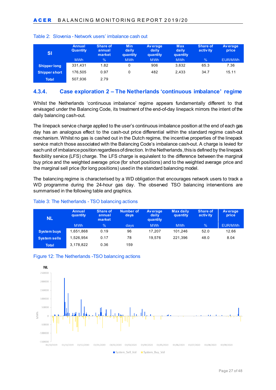| SI                  | <b>Annual</b><br><b>Quantity</b> | <b>Share of</b><br>annual<br>market | <b>Min</b><br>daily<br>quantity | <b>Average</b><br>daily<br>quantity | <b>Max</b><br>daily<br>quantity | Share of<br>activity | Average<br>price |
|---------------------|----------------------------------|-------------------------------------|---------------------------------|-------------------------------------|---------------------------------|----------------------|------------------|
|                     | <b>MWh</b>                       | $\frac{9}{6}$                       | <b>MWh</b>                      | <b>MWh</b>                          | <b>MWh</b>                      | $\frac{1}{2}$        | EUR/MWh          |
| <b>Shipper long</b> | 331.431                          | 1.82                                |                                 | 906                                 | 3.632                           | 65.3                 | 7.36             |
| Shipper short       | 176.505                          | 0.97                                |                                 | 482                                 | 2.433                           | 34.7                 | 15.11            |
| <b>Total</b>        | 507,936                          | 2.79                                |                                 |                                     |                                 |                      |                  |

#### <span id="page-26-2"></span>Table 2: Slovenia - Network users' imbalance cash out

#### <span id="page-26-0"></span>**4.3.4. Case exploration 2 – The Netherlands 'continuous imbalance' regime**

Whilst the Netherlands 'continuous imbalance' regime appears fundamentally different to that envisaged under the Balancing Code, its treatment of the end-of-day linepack mirrors the intent of the daily balancing cash-out.

The linepack service charge applied to the user's continuous imbalance position at the end of each gas day has an analogous effect to the cash-out price differential within the standard regime cash-out mechanism. Whilst no gas is cashed out in the Dutch regime, the incentive properties of the linepack service match those associated with the Balancing Code's imbalance cash-out. A charge is levied for each unit of imbalance position regardless of direction. In the Netherlands, this is defined by the linepack flexibility service (LFS) charge. The LFS charge is equivalent to the difference between the marginal buy price and the weighted average price (for short positions) and to the weighted average price and the marginal sell price (for long positions) used in the standard balancing model.

The balancing regime is characterised by a WD obligation that encourages network users to track a WD programme during the 24-hour gas day. The observed TSO balancing interventions are summarised in the following table and graphics.

#### <span id="page-26-3"></span>Table 3: The Netherlands - TSO balancing actions

| <b>NL</b>           | <b>Annual</b><br>quantity | Share of<br>annual<br>market | <b>Number of</b><br>days | <b>Average</b><br>daily<br>quantity | <b>Max daily</b><br>quantity | Share of<br>activ ity | <b>Average</b><br>price |
|---------------------|---------------------------|------------------------------|--------------------------|-------------------------------------|------------------------------|-----------------------|-------------------------|
|                     | <b>MWh</b>                | $\frac{9}{6}$                | days                     | <b>MWh</b>                          | <b>MWh</b>                   | $\frac{1}{2}$         | EUR/MWh                 |
| <b>System buys</b>  | 1.651.868                 | 0.19                         | 96                       | 17.207                              | 101.246                      | 52.0                  | 12.66                   |
| <b>System sells</b> | 1.526.954                 | 0.17                         | 78                       | 19.576                              | 221.396                      | 48.0                  | 8.04                    |
| <b>Total</b>        | 3,178,822                 | 0.36                         | 159                      |                                     |                              |                       |                         |

<span id="page-26-1"></span>

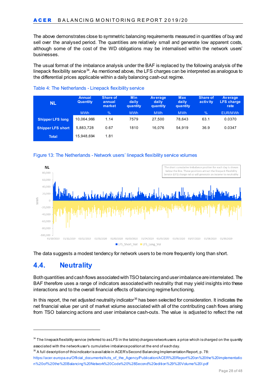The above demonstrates close to symmetric balancing requirements measured in quantities of buy and sell over the analysed period. The quantities are relatively small and generate low apparent costs, although some of the cost of the WD obligations may be internalised within the network users' businesses.

The usual format of the imbalance analysis under the BAF is replaced by the following analysis of the linepack flexibility service<sup>34</sup>. As mentioned above, the LFS charges can be interpreted as analogous to the differential prices applicable within a daily balancing cash-out regime.

| NL                       | Annual<br><b>Quantity</b> | Share of<br>annual<br>market | <b>Min</b><br>daily<br>quantity | <b>Average</b><br>daily<br>quantity | <b>Max</b><br>daily<br>quantity | <b>Share of</b><br>activ ity | <b>Average</b><br><b>LFS</b> charge<br>rate |
|--------------------------|---------------------------|------------------------------|---------------------------------|-------------------------------------|---------------------------------|------------------------------|---------------------------------------------|
|                          | <b>MWh</b>                | $\frac{0}{0}$                | <b>MWh</b>                      | <b>MWh</b>                          | <b>MWh</b>                      | $\frac{9}{6}$                | EUR/MWh                                     |
| <b>Shipper LFS long</b>  | 10,064,966                | 1.14                         | 7579                            | 27,500                              | 78.643                          | 63.1                         | 0.0370                                      |
| <b>Shipper LFS short</b> | 5,883,728                 | 0.67                         | 1810                            | 16.076                              | 54.919                          | 36.9                         | 0.0347                                      |
| <b>Total</b>             | 15,948,694                | 1.81                         |                                 |                                     |                                 |                              |                                             |

#### <span id="page-27-4"></span>Table 4: The Netherlands - Linepack flexibility service

<span id="page-27-3"></span>



The data suggests a modest tendency for network users to be more frequently long than short.

### <span id="page-27-0"></span>**4.4. Neutrality**

-

Both quantities and cash flows associated with TSO balancing and user imbalance are interrelated. The BAF therefore uses a range of indicators associated with neutrality that may yield insights into these interactions and to the overall financial effects of balancing regime functioning.

In this report, the net adjusted neutrality indicator<sup>[35](#page-27-2)</sup> has been selected for consideration. It indicates the net financial value per unit of market volume associated with all of the contributing cash flows arising from TSO balancing actions and user imbalance cash-outs. The value is adjusted to reflect the net

<span id="page-27-1"></span><sup>&</sup>lt;sup>34</sup> The linepack flexibility service (referred to as LFS in the table) charges network users a price which is charged on the quantity associated with the network user's cumulative imbalance position at the end of each day.

<span id="page-27-2"></span> $35$  A full description of this indicator is available in ACER's Second Balancing Implementation Report, p. 78:

[https://acer.europa.eu/Official\\_documents/Acts\\_of\\_the\\_Agency/Publication/ACER%20Report%20on%20the%20implementatio](https://acer.europa.eu/Official_documents/Acts_of_the_Agency/Publication/ACER%20Report%20on%20the%20implementation%20of%20the%20Balancing%20Network%20Code%20%28Second%20edition%29%20Volume%20I.pdf) [n%20of%20the%20Balancing%20Network%20Code%20%28Second%20edition%29%20Volume%20I.pdf](https://acer.europa.eu/Official_documents/Acts_of_the_Agency/Publication/ACER%20Report%20on%20the%20implementation%20of%20the%20Balancing%20Network%20Code%20%28Second%20edition%29%20Volume%20I.pdf)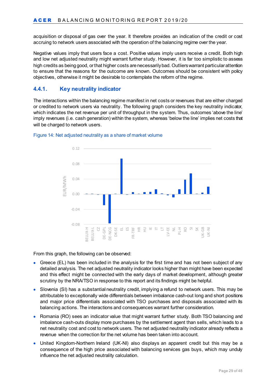acquisition or disposal of gas over the year. It therefore provides an indication of the credit or cost accruing to network users associated with the operation of the balancing regime over the year.

Negative values imply that users face a cost. Positive values imply users receive a credit. Both high and low net adjusted neutrality might warrant further study. However, it is far too simplistic to assess high credits as being good, or that higher costs are necessarily bad. Outliers warrant particular attention to ensure that the reasons for the outcome are known. Outcomes should be consistent with policy objectives, otherwise it might be desirable to contemplate the reform of the regime.

#### <span id="page-28-0"></span>**4.4.1. Key neutrality indicator**

The interactions within the balancing regime manifest in net costs or revenues that are either charged or credited to network users via neutrality. The following graph considers the key neutrality indicator, which indicates the net revenue per unit of throughput in the system. Thus, outcomes 'above the line' imply revenues (i.e. cash generation) within the system, whereas 'below the line' implies net costs that will be charged to network users.



<span id="page-28-1"></span>

From this graph, the following can be observed:

- Greece (EL) has been included in the analysis for the first time and has not been subject of any detailed analysis. The net adjusted neutrality indicator looks higher than might have been expected and this effect might be connected with the early days of market development, although greater scrutiny by the NRA/TSO in response to this report and its findings might be helpful.
- Slovenia (SI) has a substantial neutrality credit, implying a refund to network users. This may be attributable to exceptionally wide differentials between imbalance cash-out long and short positions and major price differentials associated with TSO purchases and disposals associated with its balancing actions. The interactions and consequences warrant further consideration.
- Romania (RO) sees an indicator value that might warrant further study. Both TSO balancing and imbalance cash-outs display more purchases by the settlement agent than sells, which leads to a net neutrality cost and cost to network users. The net adjusted neutrality indicator already reflects a revenue when the correction for the net volume has been taken into account.
- United Kingdom-Northern Ireland (UK-NI) also displays an apparent credit but this may be a consequence of the high price associated with balancing services gas buys, which may unduly influence the net adjusted neutrality calculation.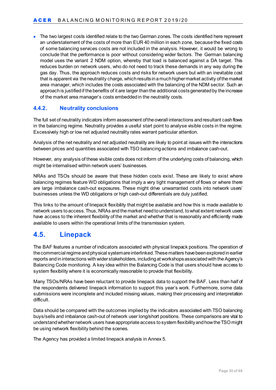• The two largest costs identified relate to the two German zones. The costs identified here represent an understatement of the costs of more than EUR 40 million in each zone, because the fixed costs of some balancing services costs are not included in the analysis. However, it would be wrong to conclude that the performance is poor without considering wider factors. The German balancing model uses the variant 2 NDM option, whereby that load is balanced against a DA target. This reduces burden on network users, who do not need to track these demands in any way during the gas day. Thus, the approach reduces costs and risks for network users but with an inevitable cost that is apparent via the neutrality charge, which results in a much higher market activity of the market area manager, which includes the costs associated with the balancing of the NDM sector. Such an approach is justified if the benefits of it are larger than the additional costs generated by the increase of the market area manager's costs embeddedin the neutrality costs.

#### <span id="page-29-0"></span>**4.4.2. Neutrality conclusions**

The full set of neutrality indicators inform assessment of the overall interactions and resultant cash flows in the balancing regime. Neutrality provides a useful start point to analyse visible costs in the regime. Excessively high or low net adjusted neutrality rates warrant particular attention.

Analysis of the net neutrality and net adjusted neutrality are likely to point at issues with the interactions between prices and quantities associated with TSO balancing actions and imbalance cash-out.

However, any analysis of these visible costs does not inform of the underlying costs of balancing, which might be internalised within network users' businesses.

NRAs and TSOs should be aware that these hidden costs exist. These are likely to exist where balancing regimes feature WD obligations that imply a very tight management of flows or where there are large imbalance cash-out exposures. These might drive unwarranted costs into network users' businesses unless the WD obligations or high cash-out differentials are duly justified.

This links to the amount of linepack flexibility that might be available and how this is made available to network users to access. Thus, NRAs and the market need to understand, to what extent network users have access to the inherent flexibility of the market and whether that is reasonably and efficiently made available to users within the operational limits of the transmission system.

### <span id="page-29-1"></span>**4.5. Linepack**

The BAF features a number of indicators associated with physical linepack positions. The operation of the commercial regime and physical system are interlinked. These matters have been explored in earlier reports and in interactions with wider stakeholders, including at workshops associated with the Agency's Balancing Code monitoring. A key idea within the Balancing Code is that users should have access to system flexibility where it is economically reasonable to provide that flexibility.

Many TSOs/NRAs have been reluctant to provide linepack data to support the BAF. Less than half of the respondents delivered linepack information to support this year's work. Furthermore, some data submissions were incomplete and included missing values, making their processing and interpretation difficult.

Data should be compared with the outcomes implied by the indicators associated with TSO balancing buys/sells and imbalance cash-out of network user long/short positions. These comparisons are vital to understand whether network users have appropriate access to system flexibility and how the TSO might be using network flexibility behind the scenes.

The Agency has provided a limited linepack analysis in Annex 5.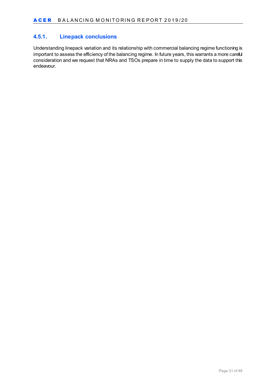#### <span id="page-30-0"></span>**4.5.1. Linepack conclusions**

Understanding linepack variation and its relationship with commercial balancing regime functioning is important to assess the efficiency of the balancing regime. In future years, this warrants a more careful consideration and we request that NRAs and TSOs prepare in time to supply the data to support this endeavour.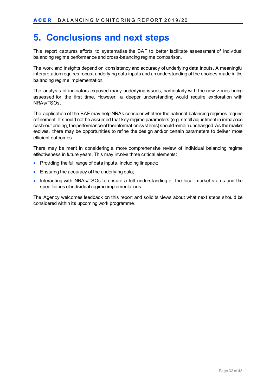# <span id="page-31-0"></span>**5. Conclusions and next steps**

This report captures efforts to systematise the BAF to better facilitate assessment of individual balancing regime performance and cross-balancing regime comparison.

The work and insights depend on consistency and accuracy of underlying data inputs. A meaningful interpretation requires robust underlying data inputs and an understanding of the choices made in the balancing regime implementation.

The analysis of indicators exposed many underlying issues, particularly with the new zones being assessed for the first time. However, a deeper understanding would require exploration with NRAs/TSOs.

The application of the BAF may help NRAs consider whether the national balancing regimes require refinement. It should not be assumed that key regime parameters (e.g. small adjustment in imbalance cash-out pricing, the performance of the information systems) should remain unchanged. As the market evolves, there may be opportunities to refine the design and/or certain parameters to deliver more efficient outcomes.

There may be merit in considering a more comprehensive review of individual balancing regime effectiveness in future years. This may involve three critical elements:

- Providing the full range of data inputs, including linepack;
- Ensuring the accuracy of the underlying data;
- Interacting with NRAs/TSOs to ensure a full understanding of the local market status and the specificities of individual regime implementations.

The Agency welcomes feedback on this report and solicits views about what next steps should be considered within its upcoming work programme.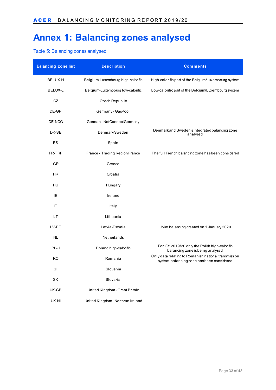# <span id="page-32-0"></span>**Annex 1: Balancing zones analysed**

#### <span id="page-32-1"></span>Table 5: Balancing zones analysed

| <b>Balancing zone list</b> | <b>Description</b>                | <b>Comments</b>                                                                                   |
|----------------------------|-----------------------------------|---------------------------------------------------------------------------------------------------|
| BELUX-H                    | Belgium-Luxembourg high-calorific | High-calorific part of the Belgium/Luxembourg system                                              |
| BELUX-L                    | Belgium-Luxembourg low-calorific  | Low-calorific part of the Belgium/Luxembourg system                                               |
| CZ                         | Czech Republic                    |                                                                                                   |
| DE-GP                      | Germany - GasPool                 |                                                                                                   |
| DE-NCG                     | German - NetConnectGermany        |                                                                                                   |
| DK-SE                      | Denmark-Sweden                    | Denmarkand Sweden's integrated balancing zone<br>analysed                                         |
| ES                         | Spain                             |                                                                                                   |
| FR-TRF                     | France - Trading Region France    | The full French balancing zone has been considered                                                |
| GR                         | Greece                            |                                                                                                   |
| HR.                        | Croatia                           |                                                                                                   |
| HU                         | Hungary                           |                                                                                                   |
| ΙE                         | Ireland                           |                                                                                                   |
| ΙT                         | Italy                             |                                                                                                   |
| <b>LT</b>                  | Lithuania                         |                                                                                                   |
| LV-EE                      | Latvia-Estonia                    | Joint balancing created on 1 January 2020                                                         |
| NL                         | Netherlands                       |                                                                                                   |
| PL-H                       | Poland high-calorific             | For GY 2019/20 only the Polish high-calorific<br>balancing zone is being analysed                 |
| <b>RO</b>                  | Romania                           | Only data relating to Romanian national transmission<br>system balancing zone has been considered |
| SI                         | Slovenia                          |                                                                                                   |
| SK                         | Slovakia                          |                                                                                                   |
| UK-GB                      | United Kingdom - Great Britain    |                                                                                                   |
| UK-NI                      | United Kingdom - Northern Ireland |                                                                                                   |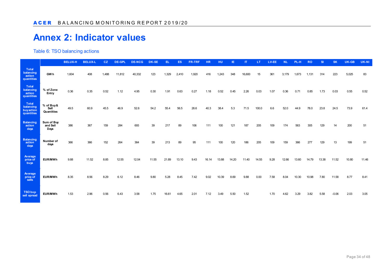# **Annex 2: Indicator values**

Table 6: TSO balancing actions

<span id="page-33-1"></span><span id="page-33-0"></span>

|                                               |                                 | <b>BELUX-H</b> | <b>BELUX-L</b> | CZ    | <b>DE-GPI</b> | <b>DE-NCG</b> | <b>DK-SE</b> |       |       | FR-TRI |       | нu    |       |        |       | .V-EE |       |               | RO    | s     | <b>SK</b> | <b>UK-GB</b> | UK-NI |
|-----------------------------------------------|---------------------------------|----------------|----------------|-------|---------------|---------------|--------------|-------|-------|--------|-------|-------|-------|--------|-------|-------|-------|---------------|-------|-------|-----------|--------------|-------|
| Total<br>balancing<br>action<br>quantities    | <b>GWh</b>                      | 1,604          | 408            | 1.488 | 11,812        | 40,332        | 123          | 1.329 | 2,410 | 1.920  |       |       |       | 16.600 |       | 361   | 3.179 | 1.673         | 1.131 | 314   | 223       | 5,025        | 83    |
| Total<br>balancing<br>action<br>quantities    | % of Zone<br>Entry              | 0.36           | 0.35           | 0.52  | 1.12          | 4.95          | 0.30         | 1.91  | 0.63  | 0.27   | 1.18  | 0.52  | 0.45  | 2.26   | 0.03  | 1.07  | 0.36  | $0.7^{\circ}$ | 0.85  | 1.73  | 0.03      | 0.55         | 0.52  |
| Total<br>balancing<br>buyaction<br>quantities | % of Buy&<br>Sell<br>Quantities | 49.5           | 60.9           | 45.5  | 46.9          | 52.6          | 54.2         | 55.4  | 56.5  | 26.6   | 40.3  | 38.4  | 5.3   | 71.5   | 100.0 | 6.6   | 52.0  | 44.9          | 78.0  | 23.8  | 24.5      | 73.9         | 61.4  |
| <b>Balancing</b><br>action<br>days            | Sum of Buy<br>and Sell<br>Days  | 386            | 367            | 159   | 284           | 693           | 39           | 217   | 89    | 106    | 111   | 100   | 121   | 187    | 205   | 109   | 174   | 563           | 305   | 129   |           | 200          | 51    |
| <b>Balancing</b><br>action<br>days            | Number of<br>days               | 366            | 366            | 152   | 264           | 364           | 39           | 213   | 89    | 95     | 111   | 100   | 120   | 186    | 205   | 109   | 159   | 366           | 277   | 129   | 13        | 199          | 51    |
| Average<br>price of<br>buys                   | EUR/MWh                         | 9.88           | 11.52          | 8.85  | 12.55         | 12.04         | 11.55        | 21.89 | 13.10 | 9.43   | 16.14 | 13.88 | 14.20 | 11.40  | 14.55 | 9.28  | 12.66 | 13.60         | 14.79 | 13.38 | 11.52     | 10.80        | 11.46 |
| Average<br>price of<br>sells                  | <b>EUR/MWh</b>                  | 8.35           | 8.56           | 8.29  | 6.12          | 8.46          | 9.80         | 5.28  | 8.45  | 7.42   | 9.02  | 10.39 | 8.69  | 9.88   | 0.00  | 7.58  | 8.04  | 10.30         | 10.98 | 7.80  | 11.58     | 8.77         | 8.41  |
| TSO buy<br>sell spread                        | EUR/MWh                         | 1.53           | 2.96           | 0.56  | 6.43          | 3.58          | 1.75         | 16.61 | 4.65  | 2.01   | 7.12  | 3.49  | 5.50  | 1.52   |       | 1.70  | 4.62  | 3.29          | 3.82  | 5.58  |           | 2.03         | 3.05  |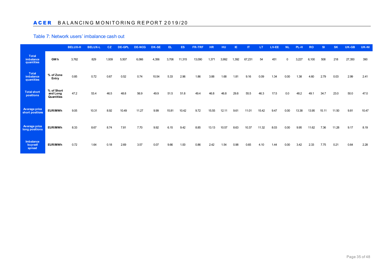#### ACERBALANCING MONITORING REPORT 2019/20

#### Table 7: Network users' imbalance cash out

<span id="page-34-0"></span>

|                                                |                                      | <b>BELUX-H</b> | <b>BELUX-L</b> | CZ.   | DE-GPL | DE-NCG | <b>DK-SE</b> | EL    | ES <sub></sub> | <b>FR-TRF</b> | <b>HR</b> | HU    |      |        |       | <b>LV-EE</b> |      | <b>PL-H</b> | <b>RO</b> | <b>SI</b> | <b>SK</b> | UK-GB  | UK-NI |
|------------------------------------------------|--------------------------------------|----------------|----------------|-------|--------|--------|--------------|-------|----------------|---------------|-----------|-------|------|--------|-------|--------------|------|-------------|-----------|-----------|-----------|--------|-------|
| <b>Total</b><br>imbalance<br>quantities        | <b>GWh</b>                           | 3,762          | 829            | 1.939 | 5,507  | 6.066  | 4.356        |       | 11,315         | 13,090        | 1.371     |       | .392 | 67.231 | 54    | 451          |      |             | 6,100     | 508       | 218       | 27,350 | 390   |
| <b>Total</b><br><b>imbalance</b><br>quantities | % of Zone<br>Entry                   | 0.85           | 0.72           | 0.67  | 0.52   | 0.74   | 10.54        | 5.33  | 2.96           | 1.86          | 3.88      | 1.68  | 1.81 | 9.16   | 0.09  | 1.34         | 0.00 | 1.38        | 4.60      | 2.79      | 0.03      | 2.99   | 2.41  |
| <b>Total short</b><br>positions                | % of Short<br>and Long<br>Quantities | 47.2           | 53.4           | 46.5  | 48.8   | 56.9   | 49.9         | 51.5  | 51.8           | 49.4          | 46.8      | 46.8  | 29.8 | 55.5   | 46.3  | 17.5         | 0.0  | 48.2        | 49.1      | 34.7      | 23.0      | 50.0   | 47.0  |
| <b>Average price</b><br>short positions        | <b>EUR/MWh</b>                       | 9.05           | 10.31          | 8.92  | 10.49  | 11.27  | 9.99         | 15.81 | 10.42          | 9.72          | 15.55     | 12.11 | 9.61 | 11.01  | 15.42 | 9.47         | 0.00 | 13.38       | 13.95     | 15.11     | 11.50     | 9.81   | 10.47 |
| Average price<br>long positions                | <b>EUR/MWh</b>                       | 8.33           | 8.67           | 8.74  | 7.81   | 7.70   | 9.92         | 6.15  | 9.42           | 8.85          | 13.13     | 10.57 | 8.63 | 10.37  | 11.32 | 8.03         | 0.00 | 9.95        | 11.62     | 7.36      | 11.28     | 9.17   | 8.19  |
| Imbalance<br>buy-sell<br>spread                | <b>EUR/MWh</b>                       | 0.72           | 1.64           | 0.18  | 2.69   | 3.57   | 0.07         | 9.66  | 1.00           | 0.86          | 2.42      |       | 0.98 | 0.65   | 4.10  | 1.44         | 0.00 | 3.42        | 2.33      | 7.75      | 0.21      | 0.64   | 2.28  |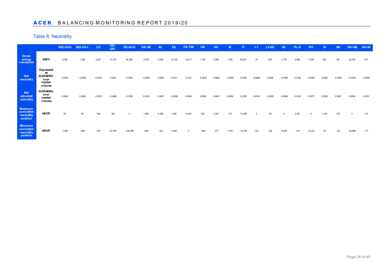#### ACERBALANCING MONITORING REPORT 2019/20

#### Table 8: Neutrality

<span id="page-35-0"></span>

|                                                        |                                                                      | <b>BELUX-H</b> | <b>BELUX-L</b> | CZ.       | DE-<br>GPL | <b>DE-NCG</b> | DK-SE     | EL     | ES.    | FR-TRF | <b>HR</b> | HU.    | IE.      | $\mathsf{I}$ | LT     | LV-EE |          |       | <b>RO</b> | -SI    | <b>SK</b> | UK-GB     | UK-NI  |
|--------------------------------------------------------|----------------------------------------------------------------------|----------------|----------------|-----------|------------|---------------|-----------|--------|--------|--------|-----------|--------|----------|--------------|--------|-------|----------|-------|-----------|--------|-----------|-----------|--------|
| <b>Gross</b><br>energy<br>transacted                   | GW h                                                                 | 5.366          | 1.238          | 3.427     | 17.319     | 46.399        |           | 5.035  | 13.725 | 15.011 | 1.787     | 5.235  | 1.740    | 83.831       | 70     |       |          | 4.900 | 7.230     | 822    |           |           | 473    |
| <b>Net</b><br>neutrality                               | <b>Expressed</b><br>as<br><b>EUR/MWh</b><br>over<br>market<br>volume | $-0.0036$      | $-0.0025$      | $-0.0010$ | $-0.0237$  | $-0.0916$     | $-0.0034$ | 0.0876 | 0.0017 | 0.0141 |           |        |          |              |        |       |          |       | $-0.0353$ | 0.0602 | 0.0000    |           |        |
| <b>Net</b><br>adjusted<br>neutrality                   | <b>EUR/MWh</b><br>over<br>market<br>volume                           | 0.0004         | 0.0003         |           |            | 0.0762        | 0.0010    | 0.0937 | n nnne | 0.0044 | 0.000S    |        | 0.0052   |              |        |       |          |       | 0.0377    | 0.0550 | 0.0001    | 0.0035    | 0.0191 |
| <b>Maximum</b><br>cumulative<br>neutrality<br>position | kEUR                                                                 | 157            | 66             | 329       | 384        |               |           |        |        |        |           | 2,221  | 173      | 13.169       |        | 93    |          | 3.763 |           |        | 372       |           | 110    |
| <b>Minimum</b><br>cumulative<br>neutrality<br>position | kEUR                                                                 | $-1,905$       |                |           | $-57.765$  | $-102.298$    | -836      |        | 3.697  |        | $-205$    | $-377$ | $-1.877$ | $-10.030$    | $-164$ |       | $-9.291$ |       | $-10.221$ | $-57$  | $-22$     | $-24.868$ | $-177$ |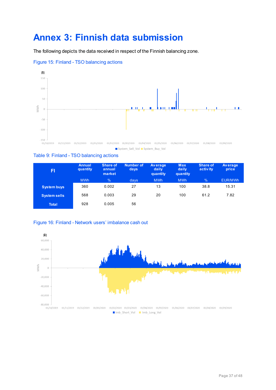# <span id="page-36-0"></span>**Annex 3: Finnish data submission**

The following depicts the data received in respect of the Finnish balancing zone.



#### <span id="page-36-1"></span>Figure 15: Finland - TSO balancing actions

#### <span id="page-36-3"></span>Table 9: Finland - TSO balancing actions

| FI                  | Annual<br>quantity | <b>Share of</b><br>annual<br>market | Number of<br>days | <b>Average</b><br>daily<br>quantity | <b>Max</b><br>daily<br>quantity | <b>Share of</b><br>activity | <b>Average</b><br>price |
|---------------------|--------------------|-------------------------------------|-------------------|-------------------------------------|---------------------------------|-----------------------------|-------------------------|
|                     | <b>MWh</b>         | $\frac{9}{6}$                       | days              | <b>MWh</b>                          | <b>MWh</b>                      | $\frac{9}{6}$               | <b>EUR/MWh</b>          |
| <b>System buys</b>  | 360                | 0.002                               | 27                | 13                                  | 100                             | 38.8                        | 15.31                   |
| <b>System sells</b> | 568                | 0.003                               | 29                | 20                                  | 100                             | 61.2                        | 7.82                    |
| <b>Total</b>        | 928                | 0.005                               | 56                |                                     |                                 |                             |                         |

<span id="page-36-2"></span>

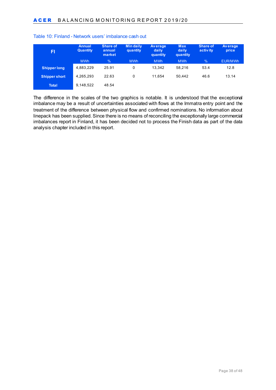| FI                   | <b>Annual</b><br><b>Quantity</b> | <b>Share of</b><br>annual<br>market | <b>Mindaily</b><br>quantity | <b>Average</b><br>daily<br>quantity | <b>Max</b><br>daily<br>quantity | <b>Share of</b><br>activity | <b>Average</b><br>price |
|----------------------|----------------------------------|-------------------------------------|-----------------------------|-------------------------------------|---------------------------------|-----------------------------|-------------------------|
|                      | <b>MWh</b>                       | $\%$                                | <b>MWh</b>                  | <b>MWh</b>                          | <b>MWh</b>                      | $\frac{1}{2}$               | <b>EUR/MWh</b>          |
| <b>Shipper long</b>  | 4,883,229                        | 25.91                               | 0                           | 13.342                              | 58.216                          | 53.4                        | 12.8                    |
| <b>Shipper short</b> | 4,265,293                        | 22.63                               | 0                           | 11.654                              | 50.442                          | 46.6                        | 13.14                   |
| <b>Total</b>         | 9,148,522                        | 48.54                               |                             |                                     |                                 |                             |                         |

#### <span id="page-37-0"></span>Table 10: Finland - Network users' imbalance cash out

The difference in the scales of the two graphics is notable. It is understood that the exceptional imbalance may be a result of uncertainties associated with flows at the Immatra entry point and the treatment of the difference between physical flow and confirmed nominations. No information about linepack has been supplied. Since there is no means of reconciling the exceptionally large commercial imbalances report in Finland, it has been decided not to process the Finish data as part of the data analysis chapter included in this report.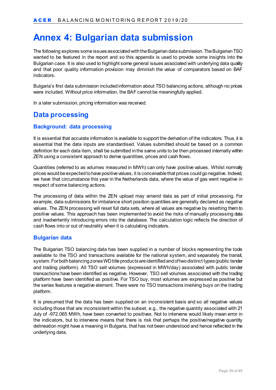# <span id="page-38-0"></span>**Annex 4: Bulgarian data submission**

The following explores some issues associated with the Bulgarian data submission. The Bulgarian TSO wanted to be featured in the report and so this appendix is used to provide some insights into the Bulgarian case. It is also used to highlight some general issues associated with underlying data quality and that poor quality information provision may diminish the value of comparators based on BAF indicators.

Bulgaria's first data submission included information about TSO balancing actions, although no prices were included. Without price information, the BAF cannot be meaningfully applied.

In a later submission, pricing information was received.

### <span id="page-38-1"></span>**Data processing**

#### <span id="page-38-2"></span>**Background: data processing**

It is essential that accurate information is available to support the derivation of the indicators. Thus, it is essential that the data inputs are standardised. Values submitted should be based on a common definition for each data item, shall be submitted in the same units to be then processed internally within ZEN using a consistent approach to derive quantities, prices and cash flows.

Quantities (referred to as volumes measured in MWh) can only have positive values. Whilst normally prices would be expected to have positive values, it is conceivable that prices could go negative. Indeed, we have that circumstance this year in the Netherlands data, where the value of gas went negative in respect of some balancing actions.

The processing of data within the ZEN upload may amend data as part of initial processing. For example, data submissions for imbalance short position quantities are generally declared as negative values. The ZEN processing will reset full data sets, where all values are negative by resetting them to positive values. This approach has been implemented to avoid the risks of manually processing data and inadvertently introducing errors into the database. The calculation logic reflects the direction of cash flows into or out of neutrality when it is calculating indicators.

#### <span id="page-38-3"></span>**Bulgarian data**

The Bulgarian TSO balancing data has been supplied in a number of blocks representing the tools available to the TSO and transactions available for the national system, and separately the transit, system. For both balancing zones WDtitle products are identified and of two distinct types (public tender and trading platform). All TSO sell volumes (expressed in MWh/day) associated with public tender transactions have been identified as negative. However, TSO sell volumes associated with the trading platform have been identified as positive. For TSO buy, most volumes are expressed as positive but the series features a negative element. There were no TSO transactions involving buys on the trading platform.

It is presumed that the data has been supplied on an inconsistent basis and so all negative values including those that are inconsistent within the subset, e.g., the negative quantity associated with 21 July of -972.065 MWh, have been converted to positives. Not to intervene would likely mean error in the indicators, but to intervene means that there is risk that perhaps the positive/negative quantity delineation might have a meaning in Bulgaria, that has not been understood and hence reflected in the underlying data.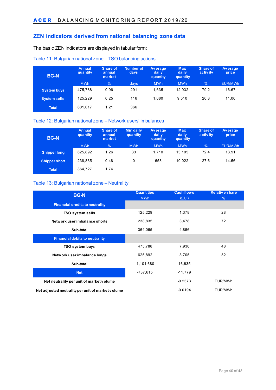#### <span id="page-39-0"></span>**ZEN indicators derived from national balancing zone data**

The basic ZEN indicators are displayed in tabular form:

#### <span id="page-39-1"></span>Table 11: Bulgarian national zone – TSO balancing actions

| <b>BG-N</b>         | Annual<br>quantity | <b>Share of</b><br>annual<br>market | Number of<br>days | <b>Average</b><br>daily<br>quantity | <b>Max</b><br>daily<br>quantity | Share of<br>activ ity | <b>Average</b><br>price |
|---------------------|--------------------|-------------------------------------|-------------------|-------------------------------------|---------------------------------|-----------------------|-------------------------|
|                     | <b>MWh</b>         | $\%$                                | days              | <b>MWh</b>                          | <b>MWh</b>                      | $\frac{9}{6}$         | EUR/MWh                 |
| <b>System buys</b>  | 475,788            | 0.96                                | 291               | 1,635                               | 12,932                          | 79.2                  | 16.67                   |
| <b>System sells</b> | 125.229            | 0.25                                | 116               | 1.080                               | 9.510                           | 20.8                  | 11.00                   |
| <b>Total</b>        | 601,017            | 1.21                                | 366               |                                     |                                 |                       |                         |

#### <span id="page-39-2"></span>Table 12: Bulgarian national zone – Network users' imbalances

| <b>BG-N</b>          | <b>Annual</b><br>quantity | <b>Share of</b><br>annual<br>market | <b>Mindaily</b><br>quantity | <b>Average</b><br>daily<br>quantity | <b>Max</b><br>daily<br>quantity | <b>Share of</b><br>activity | <b>Average</b><br>price |
|----------------------|---------------------------|-------------------------------------|-----------------------------|-------------------------------------|---------------------------------|-----------------------------|-------------------------|
|                      | <b>MWh</b>                | $\%$                                | <b>MWh</b>                  | <b>MWh</b>                          | <b>MWh</b>                      | %                           | EUR/MWh                 |
| <b>Shipper long</b>  | 625,892                   | 1.26                                | 33                          | 1.710                               | 13.105                          | 72.4                        | 13.91                   |
| <b>Shipper short</b> | 238,835                   | 0.48                                | 0                           | 653                                 | 10.022                          | 27.6                        | 14.56                   |
| <b>Total</b>         | 864,727                   | 1.74                                |                             |                                     |                                 |                             |                         |

#### <span id="page-39-3"></span>Table 13: Bulgarian national zone – Neutrality

| <b>BG-N</b>                                       | <b>Quantities</b><br><b>MWh</b> | <b>Cash flows</b><br><b>KEUR</b> | <b>Relative share</b><br>$\%$ |
|---------------------------------------------------|---------------------------------|----------------------------------|-------------------------------|
| <b>Financial credits to neutrality</b>            |                                 |                                  |                               |
| <b>TSO system sells</b>                           | 125,229                         | 1,378                            | 28                            |
| Network user imbalance shorts                     | 238,835                         | 3,478                            | 72                            |
| Sub-total                                         | 364,065                         | 4,856                            |                               |
| <b>Financial debits to neutrality</b>             |                                 |                                  |                               |
| <b>TSO system buys</b>                            | 475,788                         | 7.930                            | 48                            |
| Network user imbalance longs                      | 625,892                         | 8.705                            | 52                            |
| Sub-total                                         | 1,101,680                       | 16,635                           |                               |
| <b>Net</b>                                        | -737,615                        | $-11.779$                        |                               |
| Net neutrality per unit of market volume          |                                 | $-0.2373$                        | EUR/MWh                       |
| Net adjusted neutrality per unit of market volume |                                 | $-0.0194$                        | EUR/MWh                       |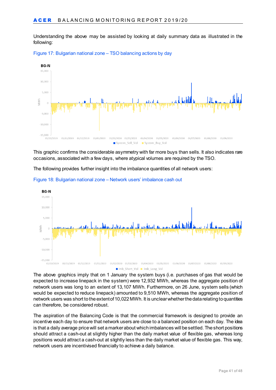Understanding the above may be assisted by looking at daily summary data as illustrated in the following:



<span id="page-40-0"></span>Figure 17: Bulgarian national zone – TSO balancing actions by day

This graphic confirms the considerable asymmetry with far more buys than sells. It also indicates rare occasions, associated with a few days, where atypical volumes are required by the TSO.

The following provides further insight into the imbalance quantities of all network users:



<span id="page-40-1"></span>Figure 18: Bulgarian national zone – Network users' imbalance cash out

The above graphics imply that on 1 January the system buys (i.e. purchases of gas that would be expected to increase linepack in the system) were 12,932 MWh, whereas the aggregate position of network users was long to an extent of 13,107 MWh. Furthermore, on 26 June, system sells (which would be expected to reduce linepack) amounted to 9,510 MWh, whereas the aggregate position of network users was short to the extent of 10,022 MWh. It is unclear whether the data relating to quantities can therefore, be considered robust.

The aspiration of the Balancing Code is that the commercial framework is designed to provide an incentive each day to ensure that network users are close to a balanced position on each day. The idea is that a daily average price will set a marker about which imbalances will be settled. The short positions should attract a cash-out at slightly higher than the daily market value of flexible gas, whereas long positions would attract a cash-out at slightly less than the daily market value of flexible gas. This way, network users are incentivised financially to achieve a daily balance.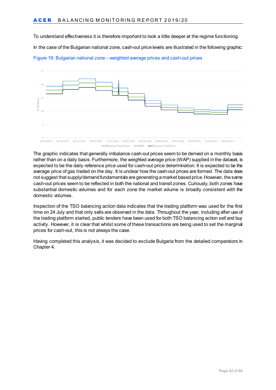To understand effectiveness it is therefore important to look a little deeper at the regime functioning.

In the case of the Bulgarian national zone, cash-out price levels are illustrated in the following graphic:



<span id="page-41-0"></span>

The graphic indicates that generally imbalance cash-out prices seem to be derived on a monthly basis rather than on a daily basis. Furthermore, the weighted average price (WAP) supplied in the dataset, is expected to be the daily reference price used for cash-out price determination. It is expected to be the average price of gas traded on the day. It is unclear how the cash-out prices are formed. The data does not suggest that supply/demand fundamentals are generating a market based price. However, the same cash-out prices seem to be reflected in both the national and transit zones. Curiously, both zones have substantial domestic volumes and for each zone the market volume is broadly consistent with the domestic volumes.

Inspection of the TSO balancing action data indicates that the trading platform was used for the first time on 24 July and that only sells are observed in the data. Throughout the year, including after use of the trading platform started, public tenders have been used for both TSO balancing action sell and buy activity. However, it is clear that whilst some of these transactions are being used to set the marginal prices for cash-out, this is not always the case.

Having completed this analysis, it was decided to exclude Bulgaria from the detailed comparators in Chapter 4.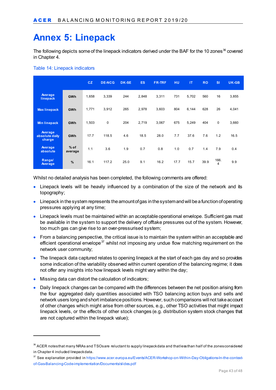# <span id="page-42-0"></span>**Annex 5: Linepack**

The following depicts some of the linepack indicators derived under the BAF for the 10 zones<sup>[36](#page-42-1)</sup> covered in Chapter 4.

#### <span id="page-42-3"></span>Table 14: Linepack indicators

|                                     |                   | CZ.   | <b>DE-NCG</b> | <b>DK-SE</b> | ES.   | <b>FR-TRF</b> | <b>HU</b> | <b>IT</b> | <b>RO</b> | <b>SI</b>   | UK-GB |
|-------------------------------------|-------------------|-------|---------------|--------------|-------|---------------|-----------|-----------|-----------|-------------|-------|
| Average<br>linepack                 | <b>GWh</b>        | 1,658 | 3,339         | 244          | 2,848 | 3,311         | 731       | 5,702     | 560       | 16          | 3,855 |
| <b>Max linepack</b>                 | <b>GWh</b>        | 1,771 | 3,912         | 265          | 2,978 | 3,603         | 804       | 6,144     | 628       | 26          | 4,041 |
| <b>Min linepack</b>                 | <b>GWh</b>        | 1,503 | 0             | 204          | 2,719 | 3,067         | 675       | 5,249     | 404       | $\mathbf 0$ | 3,660 |
| Average<br>absolute daily<br>charge | <b>GWh</b>        | 17.7  | 118.5         | 4.6          | 18.5  | 28.0          | 7.7       | 37.6      | 7.6       | 1.2         | 16.5  |
| Average<br>absolute                 | $%$ of<br>average | 1.1   | 3.6           | 1.9          | 0.7   | 0.8           | 1.0       | 0.7       | 1.4       | 7.9         | 0.4   |
| Range/<br>Average                   | %                 | 16.1  | 117.2         | 25.0         | 9.1   | 16.2          | 17.7      | 15.7      | 39.9      | 166.<br>4   | 9.9   |

Whilst no detailed analysis has been completed, the following comments are offered:

- Linepack levels will be heavily influenced by a combination of the size of the network and its topography;
- Linepack in the system represents the amount of gas in the system and will be a function of operating pressures applying at any time;
- Linepack levels must be maintained within an acceptable operational envelope. Sufficient gas must be available in the system to support the delivery of offtake pressures out of the system. However, too much gas can give rise to an over-pressurised system;
- From a balancing perspective, the critical issue is to maintain the system within an acceptable and efficient operational envelope<sup>[37](#page-42-2)</sup> whilst not imposing any undue flow matching requirement on the network user community;
- The linepack data captured relates to opening linepack at the start of each gas day and so provides some indication of the variability observed within current operation of the balancing regime; it does not offer any insights into how linepack levels might vary within the day;
- Missing data can distort the calculation of indicators;

-

• Daily linepack changes can be compared with the differences between the net position arising from the four aggregated daily quantities associated with TSO balancing action buys and sells and network users long and short imbalance positions. However, such comparisons will not take account of other changes which might arise from other sources, e.g., other TSO activities that might impact linepack levels, or the effects of other stock changes (e.g. distribution system stock changes that are not captured within the linepack value);

<span id="page-42-1"></span> $36$  ACER notes that many NRAs and TSOs are reluctant to supply linepack data and that less than half of the zones considered in Chapter 4 included linepack data.

<span id="page-42-2"></span><sup>37</sup> See explanation provided i[n https://www.acer.europa.eu/Events/ACER-Workshop-on-Within-Day-Obligations-In-the-context](https://www.acer.europa.eu/Events/ACER-Workshop-on-Within-Day-Obligations-In-the-context-of-Gas-Balancing-Code-implementation/Documents/slides.pdf)[of-Gas-Balancing-Code-implementation/Documents/slides.pdf](https://www.acer.europa.eu/Events/ACER-Workshop-on-Within-Day-Obligations-In-the-context-of-Gas-Balancing-Code-implementation/Documents/slides.pdf)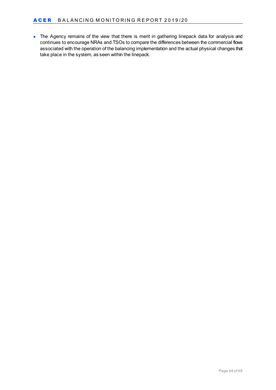• The Agency remains of the view that there is merit in gathering linepack data for analysis and continues to encourage NRAs and TSOs to compare the differences between the commercial flows associated with the operation of the balancing implementation and the actual physical changes that take place in the system, as seen within the linepack.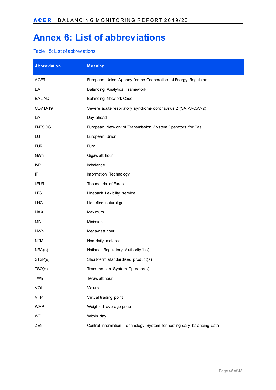# <span id="page-44-0"></span>**Annex 6: List of abbreviations**

#### <span id="page-44-1"></span>Table 15: List of abbreviations

| <b>Abbreviation</b> | <b>Meaning</b>                                                         |
|---------------------|------------------------------------------------------------------------|
| <b>ACER</b>         | European Union Agency for the Cooperation of Energy Regulators         |
| <b>BAF</b>          | Balancing Analytical Framew ork                                        |
| <b>BAL NC</b><br>.  | Balancing Netw ork Code                                                |
| COVID-19            | Severe acute respiratory syndrome coronavirus 2 (SARS-CoV-2)           |
| DA                  | Day-ahead                                                              |
| <b>ENTSOG</b>       | European Netw ork of Transmission System Operators for Gas             |
| EU                  | European Union                                                         |
| <b>EUR</b>          | Euro                                                                   |
| GWh<br>.            | Gigaw att hour                                                         |
| <b>IMB</b><br>.     | Imbalance                                                              |
| П                   | Information Technology                                                 |
| <b>kEUR</b>         | Thousands of Euros                                                     |
| <b>LFS</b><br>.     | Linepack flexibility service                                           |
| <b>LNG</b>          | Liquefied natural gas                                                  |
| <b>MAX</b>          | Maximum                                                                |
| <b>MIN</b>          | Minimum                                                                |
| <b>MWh</b><br>.     | Megaw att hour                                                         |
| <b>NDM</b>          | Non-daily metered                                                      |
| NRA(s)              | National Regulatory Authority(ies)                                     |
| STSP(s)             | Short-term standardised product(s)                                     |
| TSO(s)              | Transmission System Operator(s)                                        |
| TWh                 | Teraw att hour                                                         |
| <b>VOL</b>          | Volume                                                                 |
| <b>VTP</b><br>.     | Virtual trading point                                                  |
| <b>WAP</b><br>      | Weighted average price                                                 |
| WD                  | Within day                                                             |
| ZEN                 | Central Information Technology System for hosting daily balancing data |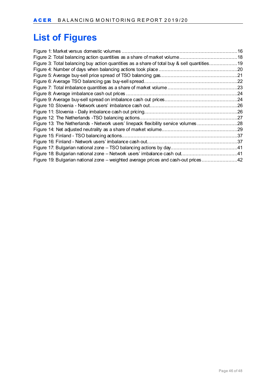# <span id="page-45-0"></span>**List of Figures**

| Figure 3: Total balancing buy action quantities as a share of total buy & sell quantities19 |  |
|---------------------------------------------------------------------------------------------|--|
|                                                                                             |  |
|                                                                                             |  |
|                                                                                             |  |
|                                                                                             |  |
|                                                                                             |  |
|                                                                                             |  |
|                                                                                             |  |
|                                                                                             |  |
|                                                                                             |  |
| Figure 13: The Netherlands - Network users' linepack flexibility service volumes 28         |  |
|                                                                                             |  |
|                                                                                             |  |
|                                                                                             |  |
|                                                                                             |  |
|                                                                                             |  |
| Figure 19: Bulgarian national zone - weighted average prices and cash-out prices42          |  |